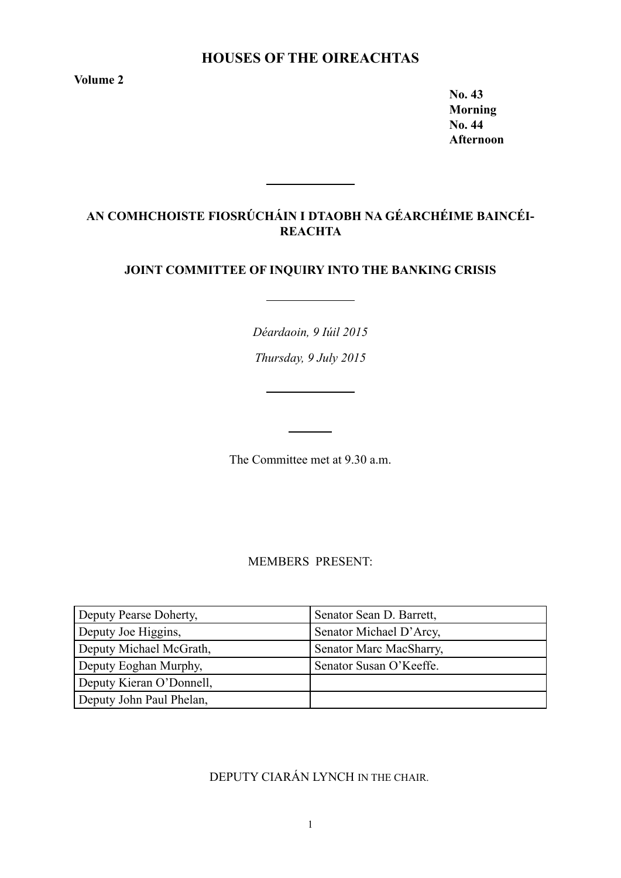# **Houses of the Oireachtas**

**Volume 2** 

**No. 43 Morning No. 44 Afternoon**

# **AN COMHCHOISTE FIOSRÚCHÁIN I DTAOBH NA GÉARCHÉIME BAINCÉI-REACHTA**

## **JOINT COMMITTEE OF INQUIRY INTO THE BANKING CRISIS**

*Déardaoin, 9 Iúil 2015*

*Thursday, 9 July 2015*

The Committee met at 9.30 a.m.

MEMBERS PRESENT:

| Deputy Pearse Doherty,   | Senator Sean D. Barrett, |
|--------------------------|--------------------------|
| Deputy Joe Higgins,      | Senator Michael D'Arcy,  |
| Deputy Michael McGrath,  | Senator Marc MacSharry,  |
| Deputy Eoghan Murphy,    | Senator Susan O'Keeffe.  |
| Deputy Kieran O'Donnell, |                          |
| Deputy John Paul Phelan, |                          |

DEPUTY CIARÁN LYNCH IN THE CHAIR.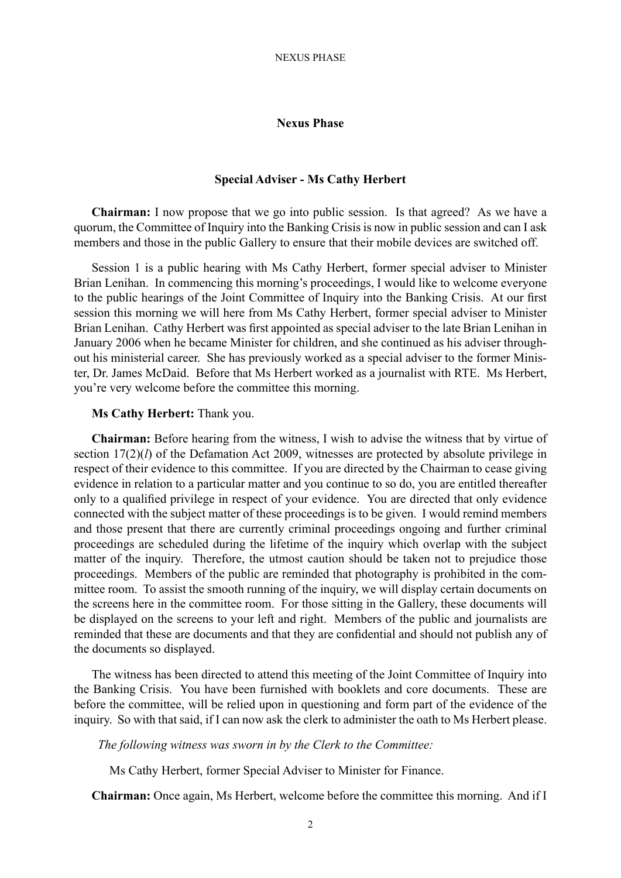## **Special Adviser - Ms Cathy Herbert**

**Chairman:** I now propose that we go into public session. Is that agreed? As we have a quorum, the Committee of Inquiry into the Banking Crisis is now in public session and can I ask members and those in the public Gallery to ensure that their mobile devices are switched off.

Session 1 is a public hearing with Ms Cathy Herbert, former special adviser to Minister Brian Lenihan. In commencing this morning's proceedings, I would like to welcome everyone to the public hearings of the Joint Committee of Inquiry into the Banking Crisis. At our first session this morning we will here from Ms Cathy Herbert, former special adviser to Minister Brian Lenihan. Cathy Herbert was first appointed as special adviser to the late Brian Lenihan in January 2006 when he became Minister for children, and she continued as his adviser throughout his ministerial career. She has previously worked as a special adviser to the former Minister, Dr. James McDaid. Before that Ms Herbert worked as a journalist with RTE. Ms Herbert, you're very welcome before the committee this morning.

### **Ms Cathy Herbert:** Thank you.

**Chairman:** Before hearing from the witness, I wish to advise the witness that by virtue of section 17(2)(*l*) of the Defamation Act 2009, witnesses are protected by absolute privilege in respect of their evidence to this committee. If you are directed by the Chairman to cease giving evidence in relation to a particular matter and you continue to so do, you are entitled thereafter only to a qualified privilege in respect of your evidence. You are directed that only evidence connected with the subject matter of these proceedings is to be given. I would remind members and those present that there are currently criminal proceedings ongoing and further criminal proceedings are scheduled during the lifetime of the inquiry which overlap with the subject matter of the inquiry. Therefore, the utmost caution should be taken not to prejudice those proceedings. Members of the public are reminded that photography is prohibited in the committee room. To assist the smooth running of the inquiry, we will display certain documents on the screens here in the committee room. For those sitting in the Gallery, these documents will be displayed on the screens to your left and right. Members of the public and journalists are reminded that these are documents and that they are confidential and should not publish any of the documents so displayed.

The witness has been directed to attend this meeting of the Joint Committee of Inquiry into the Banking Crisis. You have been furnished with booklets and core documents. These are before the committee, will be relied upon in questioning and form part of the evidence of the inquiry. So with that said, if I can now ask the clerk to administer the oath to Ms Herbert please.

#### *The following witness was sworn in by the Clerk to the Committee:*

Ms Cathy Herbert, former Special Adviser to Minister for Finance.

**Chairman:** Once again, Ms Herbert, welcome before the committee this morning. And if I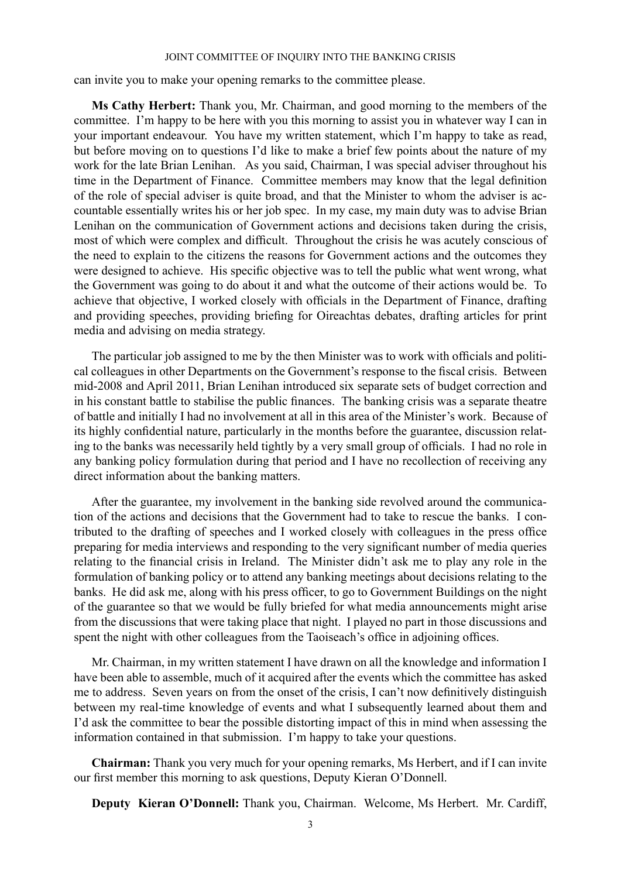can invite you to make your opening remarks to the committee please.

**Ms Cathy Herbert:** Thank you, Mr. Chairman, and good morning to the members of the committee. I'm happy to be here with you this morning to assist you in whatever way I can in your important endeavour. You have my written statement, which I'm happy to take as read, but before moving on to questions I'd like to make a brief few points about the nature of my work for the late Brian Lenihan. As you said, Chairman, I was special adviser throughout his time in the Department of Finance. Committee members may know that the legal definition of the role of special adviser is quite broad, and that the Minister to whom the adviser is accountable essentially writes his or her job spec. In my case, my main duty was to advise Brian Lenihan on the communication of Government actions and decisions taken during the crisis, most of which were complex and difficult. Throughout the crisis he was acutely conscious of the need to explain to the citizens the reasons for Government actions and the outcomes they were designed to achieve. His specific objective was to tell the public what went wrong, what the Government was going to do about it and what the outcome of their actions would be. To achieve that objective, I worked closely with officials in the Department of Finance, drafting and providing speeches, providing briefing for Oireachtas debates, drafting articles for print media and advising on media strategy.

The particular job assigned to me by the then Minister was to work with officials and political colleagues in other Departments on the Government's response to the fiscal crisis. Between mid-2008 and April 2011, Brian Lenihan introduced six separate sets of budget correction and in his constant battle to stabilise the public finances. The banking crisis was a separate theatre of battle and initially I had no involvement at all in this area of the Minister's work. Because of its highly confidential nature, particularly in the months before the guarantee, discussion relating to the banks was necessarily held tightly by a very small group of officials. I had no role in any banking policy formulation during that period and I have no recollection of receiving any direct information about the banking matters.

After the guarantee, my involvement in the banking side revolved around the communication of the actions and decisions that the Government had to take to rescue the banks. I contributed to the drafting of speeches and I worked closely with colleagues in the press office preparing for media interviews and responding to the very significant number of media queries relating to the financial crisis in Ireland. The Minister didn't ask me to play any role in the formulation of banking policy or to attend any banking meetings about decisions relating to the banks. He did ask me, along with his press officer, to go to Government Buildings on the night of the guarantee so that we would be fully briefed for what media announcements might arise from the discussions that were taking place that night. I played no part in those discussions and spent the night with other colleagues from the Taoiseach's office in adjoining offices.

Mr. Chairman, in my written statement I have drawn on all the knowledge and information I have been able to assemble, much of it acquired after the events which the committee has asked me to address. Seven years on from the onset of the crisis, I can't now definitively distinguish between my real-time knowledge of events and what I subsequently learned about them and I'd ask the committee to bear the possible distorting impact of this in mind when assessing the information contained in that submission. I'm happy to take your questions.

**Chairman:** Thank you very much for your opening remarks, Ms Herbert, and if I can invite our first member this morning to ask questions, Deputy Kieran O'Donnell.

**Deputy Kieran O'Donnell:** Thank you, Chairman. Welcome, Ms Herbert. Mr. Cardiff,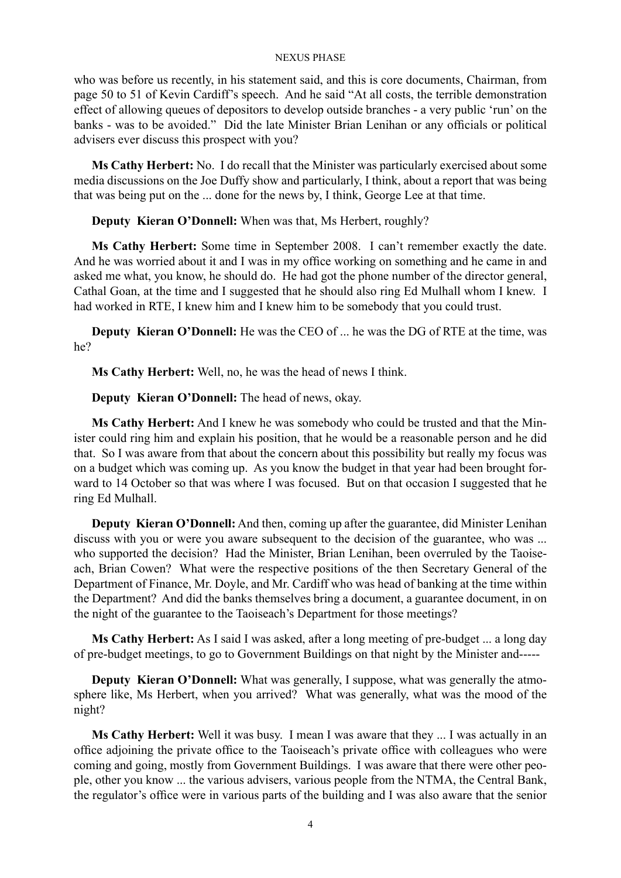who was before us recently, in his statement said, and this is core documents, Chairman, from page 50 to 51 of Kevin Cardiff's speech. And he said "At all costs, the terrible demonstration effect of allowing queues of depositors to develop outside branches - a very public 'run' on the banks - was to be avoided." Did the late Minister Brian Lenihan or any officials or political advisers ever discuss this prospect with you?

**Ms Cathy Herbert:** No. I do recall that the Minister was particularly exercised about some media discussions on the Joe Duffy show and particularly, I think, about a report that was being that was being put on the ... done for the news by, I think, George Lee at that time.

**Deputy Kieran O'Donnell:** When was that, Ms Herbert, roughly?

**Ms Cathy Herbert:** Some time in September 2008. I can't remember exactly the date. And he was worried about it and I was in my office working on something and he came in and asked me what, you know, he should do. He had got the phone number of the director general, Cathal Goan, at the time and I suggested that he should also ring Ed Mulhall whom I knew. I had worked in RTE, I knew him and I knew him to be somebody that you could trust.

**Deputy Kieran O'Donnell:** He was the CEO of ... he was the DG of RTE at the time, was he?

**Ms Cathy Herbert:** Well, no, he was the head of news I think.

**Deputy Kieran O'Donnell:** The head of news, okay.

**Ms Cathy Herbert:** And I knew he was somebody who could be trusted and that the Minister could ring him and explain his position, that he would be a reasonable person and he did that. So I was aware from that about the concern about this possibility but really my focus was on a budget which was coming up. As you know the budget in that year had been brought forward to 14 October so that was where I was focused. But on that occasion I suggested that he ring Ed Mulhall.

**Deputy Kieran O'Donnell:** And then, coming up after the guarantee, did Minister Lenihan discuss with you or were you aware subsequent to the decision of the guarantee, who was ... who supported the decision? Had the Minister, Brian Lenihan, been overruled by the Taoiseach, Brian Cowen? What were the respective positions of the then Secretary General of the Department of Finance, Mr. Doyle, and Mr. Cardiff who was head of banking at the time within the Department? And did the banks themselves bring a document, a guarantee document, in on the night of the guarantee to the Taoiseach's Department for those meetings?

**Ms Cathy Herbert:** As I said I was asked, after a long meeting of pre-budget ... a long day of pre-budget meetings, to go to Government Buildings on that night by the Minister and-----

**Deputy Kieran O'Donnell:** What was generally, I suppose, what was generally the atmosphere like, Ms Herbert, when you arrived? What was generally, what was the mood of the night?

**Ms Cathy Herbert:** Well it was busy. I mean I was aware that they ... I was actually in an office adjoining the private office to the Taoiseach's private office with colleagues who were coming and going, mostly from Government Buildings. I was aware that there were other people, other you know ... the various advisers, various people from the NTMA, the Central Bank, the regulator's office were in various parts of the building and I was also aware that the senior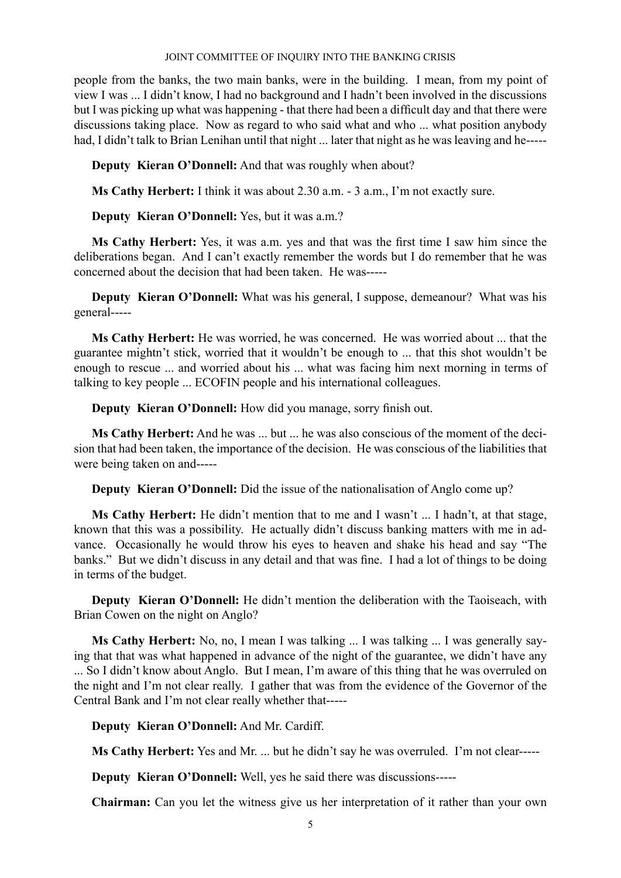people from the banks, the two main banks, were in the building. I mean, from my point of view I was ... I didn't know, I had no background and I hadn't been involved in the discussions but I was picking up what was happening - that there had been a difficult day and that there were discussions taking place. Now as regard to who said what and who ... what position anybody had, I didn't talk to Brian Lenihan until that night ... later that night as he was leaving and he-----

**Deputy Kieran O'Donnell:** And that was roughly when about?

**Ms Cathy Herbert:** I think it was about 2.30 a.m. - 3 a.m., I'm not exactly sure.

**Deputy Kieran O'Donnell:** Yes, but it was a.m.?

**Ms Cathy Herbert:** Yes, it was a.m. yes and that was the first time I saw him since the deliberations began. And I can't exactly remember the words but I do remember that he was concerned about the decision that had been taken. He was-----

**Deputy Kieran O'Donnell:** What was his general, I suppose, demeanour? What was his general-----

**Ms Cathy Herbert:** He was worried, he was concerned. He was worried about ... that the guarantee mightn't stick, worried that it wouldn't be enough to ... that this shot wouldn't be enough to rescue ... and worried about his ... what was facing him next morning in terms of talking to key people ... ECOFIN people and his international colleagues.

**Deputy Kieran O'Donnell:** How did you manage, sorry finish out.

**Ms Cathy Herbert:** And he was ... but ... he was also conscious of the moment of the decision that had been taken, the importance of the decision. He was conscious of the liabilities that were being taken on and-----

**Deputy Kieran O'Donnell:** Did the issue of the nationalisation of Anglo come up?

**Ms Cathy Herbert:** He didn't mention that to me and I wasn't ... I hadn't, at that stage, known that this was a possibility. He actually didn't discuss banking matters with me in advance. Occasionally he would throw his eyes to heaven and shake his head and say "The banks." But we didn't discuss in any detail and that was fine. I had a lot of things to be doing in terms of the budget.

**Deputy Kieran O'Donnell:** He didn't mention the deliberation with the Taoiseach, with Brian Cowen on the night on Anglo?

**Ms Cathy Herbert:** No, no, I mean I was talking ... I was talking ... I was generally saying that that was what happened in advance of the night of the guarantee, we didn't have any ... So I didn't know about Anglo. But I mean, I'm aware of this thing that he was overruled on the night and I'm not clear really. I gather that was from the evidence of the Governor of the Central Bank and I'm not clear really whether that-----

**Deputy Kieran O'Donnell:** And Mr. Cardiff.

**Ms Cathy Herbert:** Yes and Mr. ... but he didn't say he was overruled. I'm not clear-----

**Deputy Kieran O'Donnell:** Well, yes he said there was discussions-----

**Chairman:** Can you let the witness give us her interpretation of it rather than your own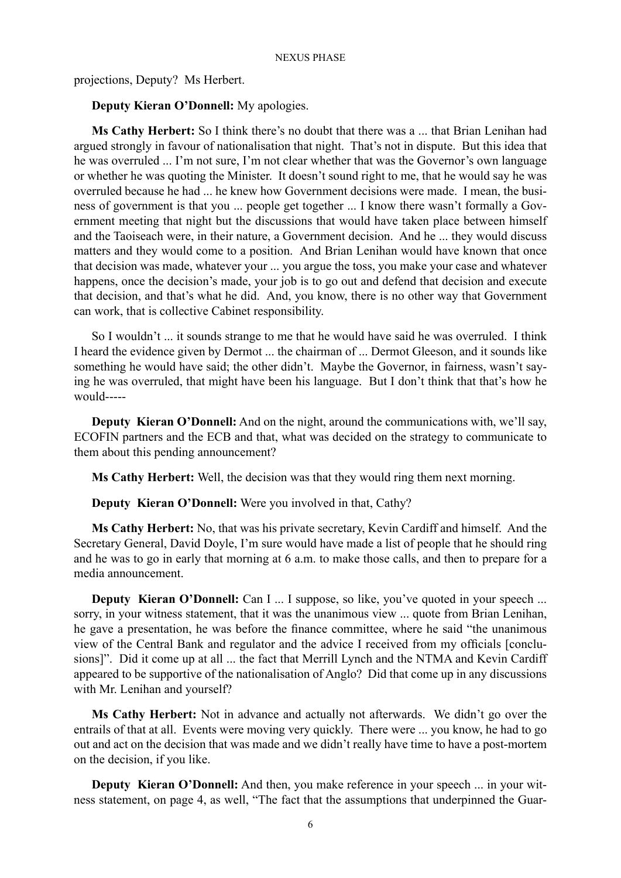projections, Deputy? Ms Herbert.

### **Deputy Kieran O'Donnell:** My apologies.

**Ms Cathy Herbert:** So I think there's no doubt that there was a ... that Brian Lenihan had argued strongly in favour of nationalisation that night. That's not in dispute. But this idea that he was overruled ... I'm not sure, I'm not clear whether that was the Governor's own language or whether he was quoting the Minister. It doesn't sound right to me, that he would say he was overruled because he had ... he knew how Government decisions were made. I mean, the business of government is that you ... people get together ... I know there wasn't formally a Government meeting that night but the discussions that would have taken place between himself and the Taoiseach were, in their nature, a Government decision. And he ... they would discuss matters and they would come to a position. And Brian Lenihan would have known that once that decision was made, whatever your ... you argue the toss, you make your case and whatever happens, once the decision's made, your job is to go out and defend that decision and execute that decision, and that's what he did. And, you know, there is no other way that Government can work, that is collective Cabinet responsibility.

So I wouldn't ... it sounds strange to me that he would have said he was overruled. I think I heard the evidence given by Dermot ... the chairman of ... Dermot Gleeson, and it sounds like something he would have said; the other didn't. Maybe the Governor, in fairness, wasn't saying he was overruled, that might have been his language. But I don't think that that's how he would-----

**Deputy Kieran O'Donnell:** And on the night, around the communications with, we'll say, ECOFIN partners and the ECB and that, what was decided on the strategy to communicate to them about this pending announcement?

**Ms Cathy Herbert:** Well, the decision was that they would ring them next morning.

**Deputy Kieran O'Donnell:** Were you involved in that, Cathy?

**Ms Cathy Herbert:** No, that was his private secretary, Kevin Cardiff and himself. And the Secretary General, David Doyle, I'm sure would have made a list of people that he should ring and he was to go in early that morning at 6 a.m. to make those calls, and then to prepare for a media announcement.

**Deputy Kieran O'Donnell:** Can I ... I suppose, so like, you've quoted in your speech ... sorry, in your witness statement, that it was the unanimous view ... quote from Brian Lenihan, he gave a presentation, he was before the finance committee, where he said "the unanimous view of the Central Bank and regulator and the advice I received from my officials [conclusions]". Did it come up at all ... the fact that Merrill Lynch and the NTMA and Kevin Cardiff appeared to be supportive of the nationalisation of Anglo? Did that come up in any discussions with Mr. Lenihan and yourself?

**Ms Cathy Herbert:** Not in advance and actually not afterwards. We didn't go over the entrails of that at all. Events were moving very quickly. There were ... you know, he had to go out and act on the decision that was made and we didn't really have time to have a post-mortem on the decision, if you like.

**Deputy Kieran O'Donnell:** And then, you make reference in your speech ... in your witness statement, on page 4, as well, "The fact that the assumptions that underpinned the Guar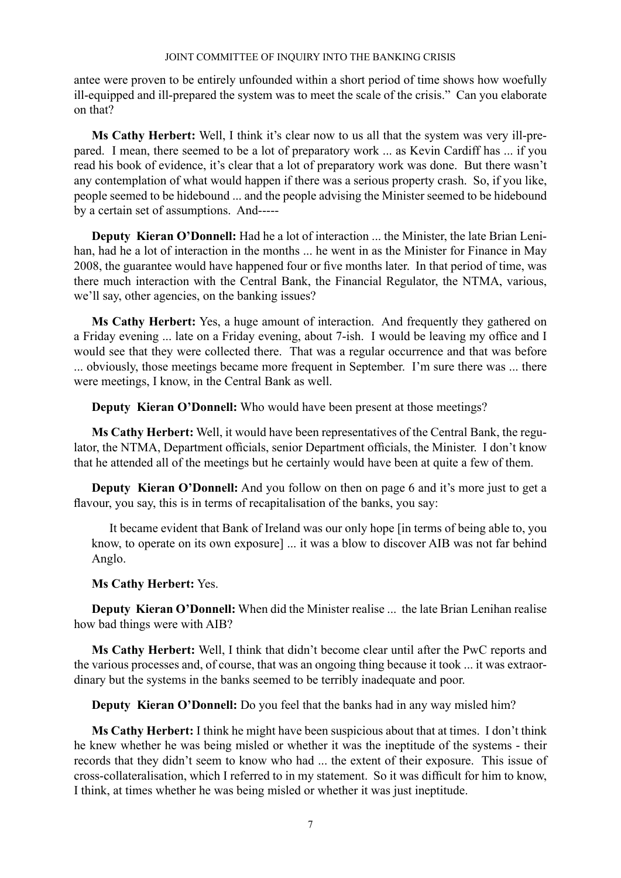antee were proven to be entirely unfounded within a short period of time shows how woefully ill-equipped and ill-prepared the system was to meet the scale of the crisis." Can you elaborate on that?

**Ms Cathy Herbert:** Well, I think it's clear now to us all that the system was very ill-prepared. I mean, there seemed to be a lot of preparatory work ... as Kevin Cardiff has ... if you read his book of evidence, it's clear that a lot of preparatory work was done. But there wasn't any contemplation of what would happen if there was a serious property crash. So, if you like, people seemed to be hidebound ... and the people advising the Minister seemed to be hidebound by a certain set of assumptions. And-----

**Deputy Kieran O'Donnell:** Had he a lot of interaction ... the Minister, the late Brian Lenihan, had he a lot of interaction in the months ... he went in as the Minister for Finance in May 2008, the guarantee would have happened four or five months later. In that period of time, was there much interaction with the Central Bank, the Financial Regulator, the NTMA, various, we'll say, other agencies, on the banking issues?

**Ms Cathy Herbert:** Yes, a huge amount of interaction. And frequently they gathered on a Friday evening ... late on a Friday evening, about 7-ish. I would be leaving my office and I would see that they were collected there. That was a regular occurrence and that was before ... obviously, those meetings became more frequent in September. I'm sure there was ... there were meetings, I know, in the Central Bank as well.

**Deputy Kieran O'Donnell:** Who would have been present at those meetings?

**Ms Cathy Herbert:** Well, it would have been representatives of the Central Bank, the regulator, the NTMA, Department officials, senior Department officials, the Minister. I don't know that he attended all of the meetings but he certainly would have been at quite a few of them.

**Deputy Kieran O'Donnell:** And you follow on then on page 6 and it's more just to get a flavour, you say, this is in terms of recapitalisation of the banks, you say:

It became evident that Bank of Ireland was our only hope [in terms of being able to, you know, to operate on its own exposure] ... it was a blow to discover AIB was not far behind Anglo.

## **Ms Cathy Herbert:** Yes.

**Deputy Kieran O'Donnell:** When did the Minister realise ... the late Brian Lenihan realise how bad things were with AIB?

**Ms Cathy Herbert:** Well, I think that didn't become clear until after the PwC reports and the various processes and, of course, that was an ongoing thing because it took ... it was extraordinary but the systems in the banks seemed to be terribly inadequate and poor.

**Deputy Kieran O'Donnell:** Do you feel that the banks had in any way misled him?

**Ms Cathy Herbert:** I think he might have been suspicious about that at times. I don't think he knew whether he was being misled or whether it was the ineptitude of the systems - their records that they didn't seem to know who had ... the extent of their exposure. This issue of cross-collateralisation, which I referred to in my statement. So it was difficult for him to know, I think, at times whether he was being misled or whether it was just ineptitude.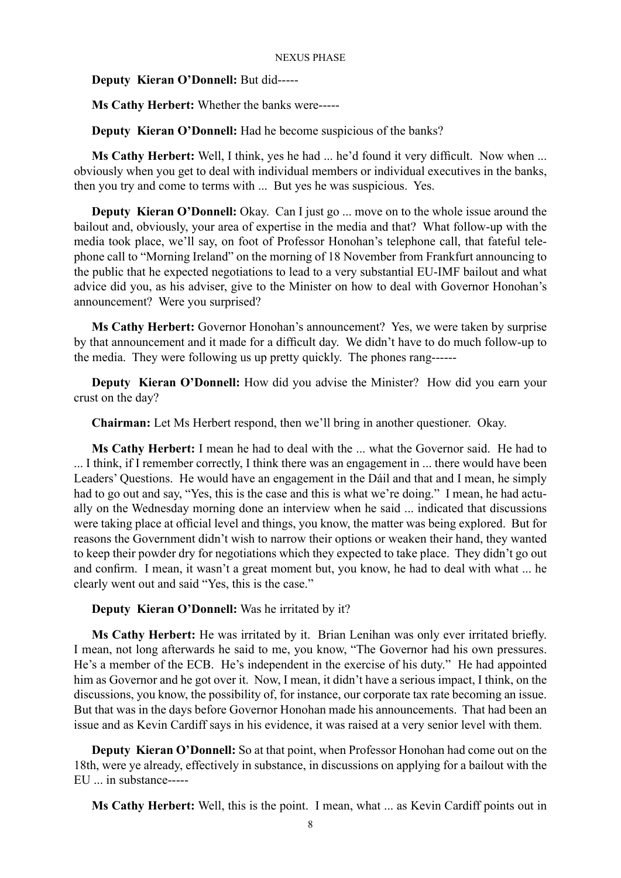**Deputy Kieran O'Donnell:** But did-----

**Ms Cathy Herbert:** Whether the banks were-----

**Deputy Kieran O'Donnell:** Had he become suspicious of the banks?

**Ms Cathy Herbert:** Well, I think, yes he had ... he'd found it very difficult. Now when ... obviously when you get to deal with individual members or individual executives in the banks, then you try and come to terms with ... But yes he was suspicious. Yes.

**Deputy Kieran O'Donnell:** Okay. Can I just go ... move on to the whole issue around the bailout and, obviously, your area of expertise in the media and that? What follow-up with the media took place, we'll say, on foot of Professor Honohan's telephone call, that fateful telephone call to "Morning Ireland" on the morning of 18 November from Frankfurt announcing to the public that he expected negotiations to lead to a very substantial EU-IMF bailout and what advice did you, as his adviser, give to the Minister on how to deal with Governor Honohan's announcement? Were you surprised?

**Ms Cathy Herbert:** Governor Honohan's announcement? Yes, we were taken by surprise by that announcement and it made for a difficult day. We didn't have to do much follow-up to the media. They were following us up pretty quickly. The phones rang------

**Deputy Kieran O'Donnell:** How did you advise the Minister? How did you earn your crust on the day?

**Chairman:** Let Ms Herbert respond, then we'll bring in another questioner. Okay.

**Ms Cathy Herbert:** I mean he had to deal with the ... what the Governor said. He had to ... I think, if I remember correctly, I think there was an engagement in ... there would have been Leaders' Questions. He would have an engagement in the Dáil and that and I mean, he simply had to go out and say, "Yes, this is the case and this is what we're doing." I mean, he had actually on the Wednesday morning done an interview when he said ... indicated that discussions were taking place at official level and things, you know, the matter was being explored. But for reasons the Government didn't wish to narrow their options or weaken their hand, they wanted to keep their powder dry for negotiations which they expected to take place. They didn't go out and confirm. I mean, it wasn't a great moment but, you know, he had to deal with what ... he clearly went out and said "Yes, this is the case."

**Deputy Kieran O'Donnell:** Was he irritated by it?

**Ms Cathy Herbert:** He was irritated by it. Brian Lenihan was only ever irritated briefly. I mean, not long afterwards he said to me, you know, "The Governor had his own pressures. He's a member of the ECB. He's independent in the exercise of his duty." He had appointed him as Governor and he got over it. Now, I mean, it didn't have a serious impact, I think, on the discussions, you know, the possibility of, for instance, our corporate tax rate becoming an issue. But that was in the days before Governor Honohan made his announcements. That had been an issue and as Kevin Cardiff says in his evidence, it was raised at a very senior level with them.

**Deputy Kieran O'Donnell:** So at that point, when Professor Honohan had come out on the 18th, were ye already, effectively in substance, in discussions on applying for a bailout with the EU ... in substance-----

**Ms Cathy Herbert:** Well, this is the point. I mean, what ... as Kevin Cardiff points out in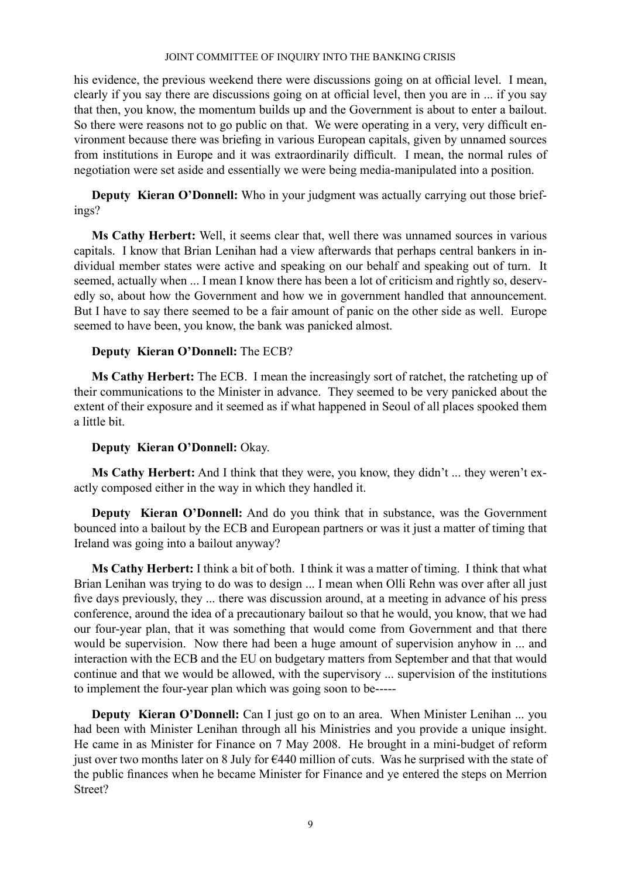his evidence, the previous weekend there were discussions going on at official level. I mean, clearly if you say there are discussions going on at official level, then you are in ... if you say that then, you know, the momentum builds up and the Government is about to enter a bailout. So there were reasons not to go public on that. We were operating in a very, very difficult environment because there was briefing in various European capitals, given by unnamed sources from institutions in Europe and it was extraordinarily difficult. I mean, the normal rules of negotiation were set aside and essentially we were being media-manipulated into a position.

**Deputy Kieran O'Donnell:** Who in your judgment was actually carrying out those briefings?

**Ms Cathy Herbert:** Well, it seems clear that, well there was unnamed sources in various capitals. I know that Brian Lenihan had a view afterwards that perhaps central bankers in individual member states were active and speaking on our behalf and speaking out of turn. It seemed, actually when ... I mean I know there has been a lot of criticism and rightly so, deservedly so, about how the Government and how we in government handled that announcement. But I have to say there seemed to be a fair amount of panic on the other side as well. Europe seemed to have been, you know, the bank was panicked almost.

## **Deputy Kieran O'Donnell:** The ECB?

**Ms Cathy Herbert:** The ECB. I mean the increasingly sort of ratchet, the ratcheting up of their communications to the Minister in advance. They seemed to be very panicked about the extent of their exposure and it seemed as if what happened in Seoul of all places spooked them a little bit.

## **Deputy Kieran O'Donnell:** Okay.

**Ms Cathy Herbert:** And I think that they were, you know, they didn't ... they weren't exactly composed either in the way in which they handled it.

**Deputy Kieran O'Donnell:** And do you think that in substance, was the Government bounced into a bailout by the ECB and European partners or was it just a matter of timing that Ireland was going into a bailout anyway?

**Ms Cathy Herbert:** I think a bit of both. I think it was a matter of timing. I think that what Brian Lenihan was trying to do was to design ... I mean when Olli Rehn was over after all just five days previously, they ... there was discussion around, at a meeting in advance of his press conference, around the idea of a precautionary bailout so that he would, you know, that we had our four-year plan, that it was something that would come from Government and that there would be supervision. Now there had been a huge amount of supervision anyhow in ... and interaction with the ECB and the EU on budgetary matters from September and that that would continue and that we would be allowed, with the supervisory ... supervision of the institutions to implement the four-year plan which was going soon to be-----

**Deputy Kieran O'Donnell:** Can I just go on to an area. When Minister Lenihan ... you had been with Minister Lenihan through all his Ministries and you provide a unique insight. He came in as Minister for Finance on 7 May 2008. He brought in a mini-budget of reform just over two months later on 8 July for €440 million of cuts. Was he surprised with the state of the public finances when he became Minister for Finance and ye entered the steps on Merrion Street?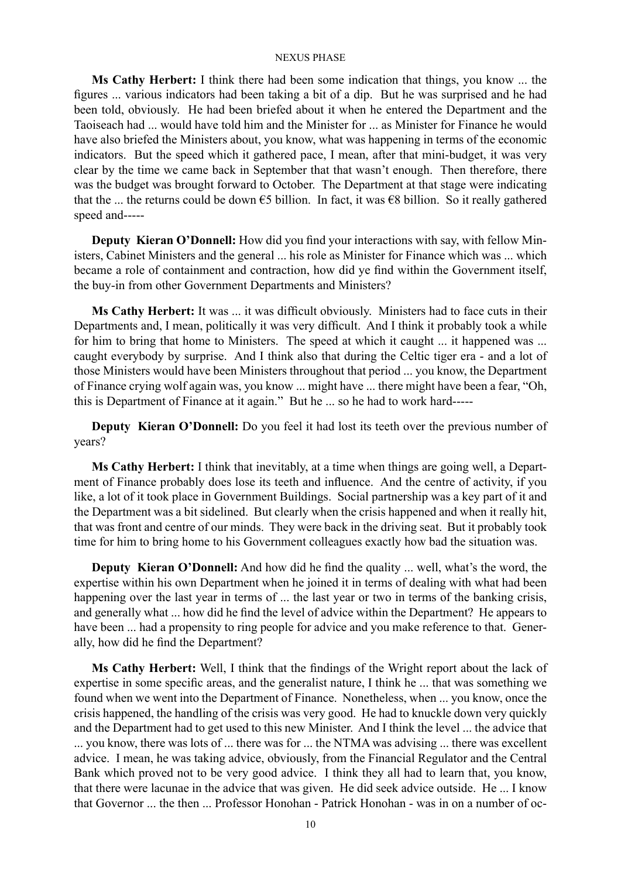**Ms Cathy Herbert:** I think there had been some indication that things, you know ... the figures ... various indicators had been taking a bit of a dip. But he was surprised and he had been told, obviously. He had been briefed about it when he entered the Department and the Taoiseach had ... would have told him and the Minister for ... as Minister for Finance he would have also briefed the Ministers about, you know, what was happening in terms of the economic indicators. But the speed which it gathered pace, I mean, after that mini-budget, it was very clear by the time we came back in September that that wasn't enough. Then therefore, there was the budget was brought forward to October. The Department at that stage were indicating that the ... the returns could be down  $\epsilon$ 5 billion. In fact, it was  $\epsilon$ 8 billion. So it really gathered speed and-----

**Deputy Kieran O'Donnell:** How did you find your interactions with say, with fellow Ministers, Cabinet Ministers and the general ... his role as Minister for Finance which was ... which became a role of containment and contraction, how did ye find within the Government itself, the buy-in from other Government Departments and Ministers?

**Ms Cathy Herbert:** It was ... it was difficult obviously. Ministers had to face cuts in their Departments and, I mean, politically it was very difficult. And I think it probably took a while for him to bring that home to Ministers. The speed at which it caught ... it happened was ... caught everybody by surprise. And I think also that during the Celtic tiger era - and a lot of those Ministers would have been Ministers throughout that period ... you know, the Department of Finance crying wolf again was, you know ... might have ... there might have been a fear, "Oh, this is Department of Finance at it again." But he ... so he had to work hard-----

**Deputy Kieran O'Donnell:** Do you feel it had lost its teeth over the previous number of years?

**Ms Cathy Herbert:** I think that inevitably, at a time when things are going well, a Department of Finance probably does lose its teeth and influence. And the centre of activity, if you like, a lot of it took place in Government Buildings. Social partnership was a key part of it and the Department was a bit sidelined. But clearly when the crisis happened and when it really hit, that was front and centre of our minds. They were back in the driving seat. But it probably took time for him to bring home to his Government colleagues exactly how bad the situation was.

**Deputy Kieran O'Donnell:** And how did he find the quality ... well, what's the word, the expertise within his own Department when he joined it in terms of dealing with what had been happening over the last year in terms of ... the last year or two in terms of the banking crisis, and generally what ... how did he find the level of advice within the Department? He appears to have been ... had a propensity to ring people for advice and you make reference to that. Generally, how did he find the Department?

**Ms Cathy Herbert:** Well, I think that the findings of the Wright report about the lack of expertise in some specific areas, and the generalist nature, I think he ... that was something we found when we went into the Department of Finance. Nonetheless, when ... you know, once the crisis happened, the handling of the crisis was very good. He had to knuckle down very quickly and the Department had to get used to this new Minister. And I think the level ... the advice that ... you know, there was lots of ... there was for ... the NTMA was advising ... there was excellent advice. I mean, he was taking advice, obviously, from the Financial Regulator and the Central Bank which proved not to be very good advice. I think they all had to learn that, you know, that there were lacunae in the advice that was given. He did seek advice outside. He ... I know that Governor ... the then ... Professor Honohan - Patrick Honohan - was in on a number of oc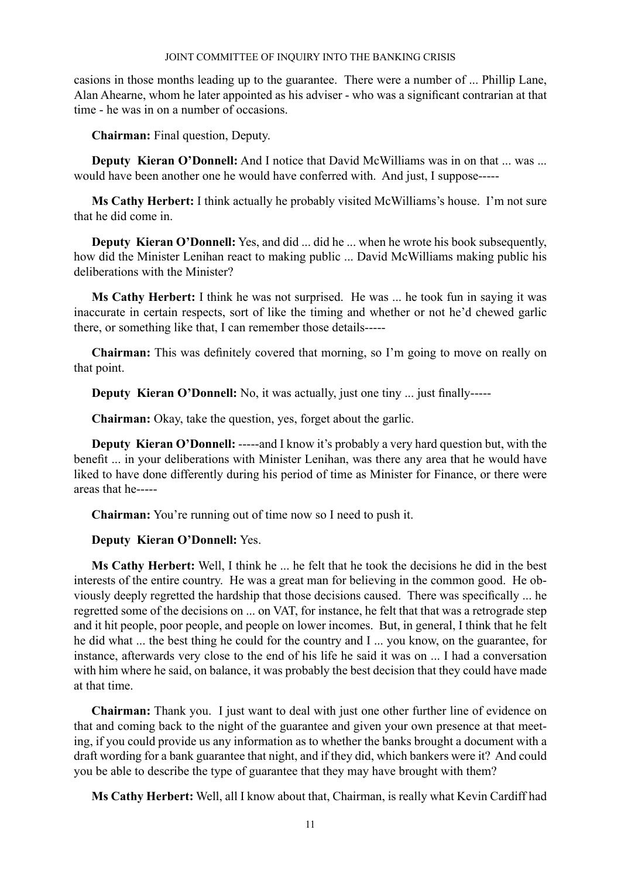casions in those months leading up to the guarantee. There were a number of ... Phillip Lane, Alan Ahearne, whom he later appointed as his adviser - who was a significant contrarian at that time - he was in on a number of occasions.

**Chairman:** Final question, Deputy.

**Deputy Kieran O'Donnell:** And I notice that David McWilliams was in on that ... was ... would have been another one he would have conferred with. And just, I suppose-----

**Ms Cathy Herbert:** I think actually he probably visited McWilliams's house. I'm not sure that he did come in.

**Deputy Kieran O'Donnell:** Yes, and did ... did he ... when he wrote his book subsequently, how did the Minister Lenihan react to making public ... David McWilliams making public his deliberations with the Minister?

**Ms Cathy Herbert:** I think he was not surprised. He was ... he took fun in saying it was inaccurate in certain respects, sort of like the timing and whether or not he'd chewed garlic there, or something like that, I can remember those details-----

**Chairman:** This was definitely covered that morning, so I'm going to move on really on that point.

**Deputy Kieran O'Donnell:** No, it was actually, just one tiny ... just finally-----

**Chairman:** Okay, take the question, yes, forget about the garlic.

**Deputy Kieran O'Donnell:** -----and I know it's probably a very hard question but, with the benefit ... in your deliberations with Minister Lenihan, was there any area that he would have liked to have done differently during his period of time as Minister for Finance, or there were areas that he-----

**Chairman:** You're running out of time now so I need to push it.

## **Deputy Kieran O'Donnell:** Yes.

**Ms Cathy Herbert:** Well, I think he ... he felt that he took the decisions he did in the best interests of the entire country. He was a great man for believing in the common good. He obviously deeply regretted the hardship that those decisions caused. There was specifically ... he regretted some of the decisions on ... on VAT, for instance, he felt that that was a retrograde step and it hit people, poor people, and people on lower incomes. But, in general, I think that he felt he did what ... the best thing he could for the country and I ... you know, on the guarantee, for instance, afterwards very close to the end of his life he said it was on ... I had a conversation with him where he said, on balance, it was probably the best decision that they could have made at that time.

**Chairman:** Thank you. I just want to deal with just one other further line of evidence on that and coming back to the night of the guarantee and given your own presence at that meeting, if you could provide us any information as to whether the banks brought a document with a draft wording for a bank guarantee that night, and if they did, which bankers were it? And could you be able to describe the type of guarantee that they may have brought with them?

**Ms Cathy Herbert:** Well, all I know about that, Chairman, is really what Kevin Cardiff had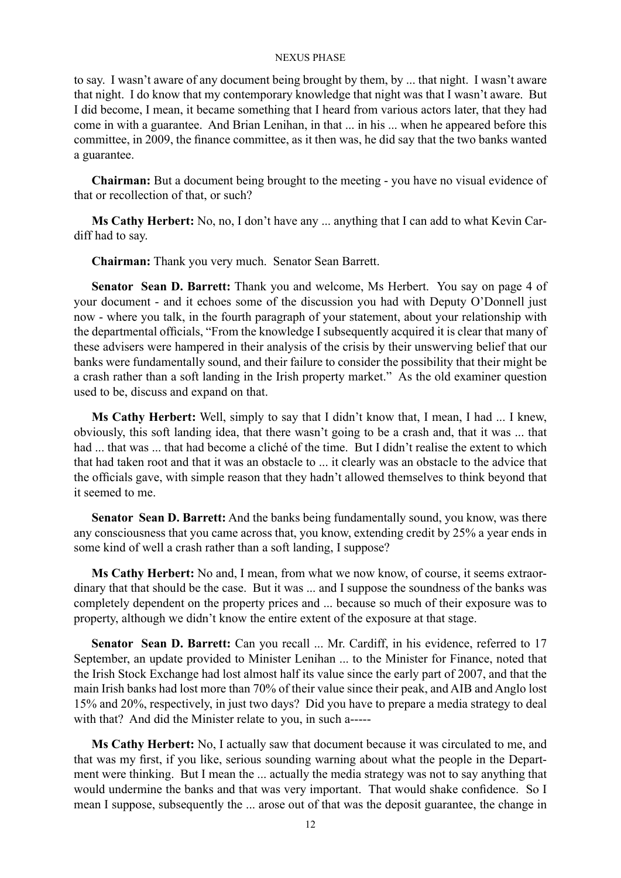to say. I wasn't aware of any document being brought by them, by ... that night. I wasn't aware that night. I do know that my contemporary knowledge that night was that I wasn't aware. But I did become, I mean, it became something that I heard from various actors later, that they had come in with a guarantee. And Brian Lenihan, in that ... in his ... when he appeared before this committee, in 2009, the finance committee, as it then was, he did say that the two banks wanted a guarantee.

**Chairman:** But a document being brought to the meeting - you have no visual evidence of that or recollection of that, or such?

**Ms Cathy Herbert:** No, no, I don't have any ... anything that I can add to what Kevin Cardiff had to say.

**Chairman:** Thank you very much. Senator Sean Barrett.

**Senator Sean D. Barrett:** Thank you and welcome, Ms Herbert. You say on page 4 of your document - and it echoes some of the discussion you had with Deputy O'Donnell just now - where you talk, in the fourth paragraph of your statement, about your relationship with the departmental officials, "From the knowledge I subsequently acquired it is clear that many of these advisers were hampered in their analysis of the crisis by their unswerving belief that our banks were fundamentally sound, and their failure to consider the possibility that their might be a crash rather than a soft landing in the Irish property market." As the old examiner question used to be, discuss and expand on that.

**Ms Cathy Herbert:** Well, simply to say that I didn't know that, I mean, I had ... I knew, obviously, this soft landing idea, that there wasn't going to be a crash and, that it was ... that had ... that was ... that had become a cliché of the time. But I didn't realise the extent to which that had taken root and that it was an obstacle to ... it clearly was an obstacle to the advice that the officials gave, with simple reason that they hadn't allowed themselves to think beyond that it seemed to me.

**Senator Sean D. Barrett:** And the banks being fundamentally sound, you know, was there any consciousness that you came across that, you know, extending credit by 25% a year ends in some kind of well a crash rather than a soft landing, I suppose?

**Ms Cathy Herbert:** No and, I mean, from what we now know, of course, it seems extraordinary that that should be the case. But it was ... and I suppose the soundness of the banks was completely dependent on the property prices and ... because so much of their exposure was to property, although we didn't know the entire extent of the exposure at that stage.

Senator Sean D. Barrett: Can you recall ... Mr. Cardiff, in his evidence, referred to 17 September, an update provided to Minister Lenihan ... to the Minister for Finance, noted that the Irish Stock Exchange had lost almost half its value since the early part of 2007, and that the main Irish banks had lost more than 70% of their value since their peak, and AIB and Anglo lost 15% and 20%, respectively, in just two days? Did you have to prepare a media strategy to deal with that? And did the Minister relate to you, in such a-----

**Ms Cathy Herbert:** No, I actually saw that document because it was circulated to me, and that was my first, if you like, serious sounding warning about what the people in the Department were thinking. But I mean the ... actually the media strategy was not to say anything that would undermine the banks and that was very important. That would shake confidence. So I mean I suppose, subsequently the ... arose out of that was the deposit guarantee, the change in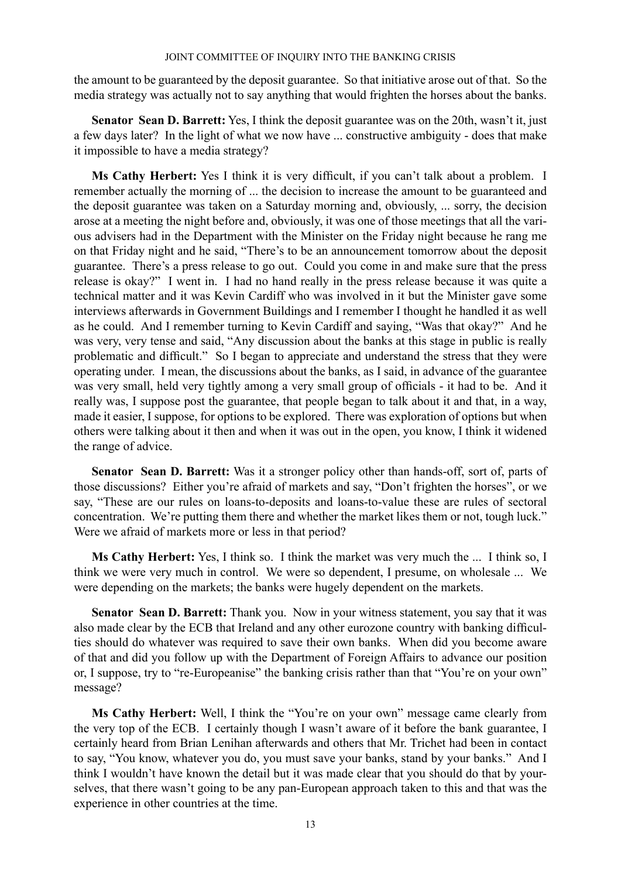the amount to be guaranteed by the deposit guarantee. So that initiative arose out of that. So the media strategy was actually not to say anything that would frighten the horses about the banks.

**Senator Sean D. Barrett:** Yes, I think the deposit guarantee was on the 20th, wasn't it, just a few days later? In the light of what we now have ... constructive ambiguity - does that make it impossible to have a media strategy?

**Ms Cathy Herbert:** Yes I think it is very difficult, if you can't talk about a problem. I remember actually the morning of ... the decision to increase the amount to be guaranteed and the deposit guarantee was taken on a Saturday morning and, obviously, ... sorry, the decision arose at a meeting the night before and, obviously, it was one of those meetings that all the various advisers had in the Department with the Minister on the Friday night because he rang me on that Friday night and he said, "There's to be an announcement tomorrow about the deposit guarantee. There's a press release to go out. Could you come in and make sure that the press release is okay?" I went in. I had no hand really in the press release because it was quite a technical matter and it was Kevin Cardiff who was involved in it but the Minister gave some interviews afterwards in Government Buildings and I remember I thought he handled it as well as he could. And I remember turning to Kevin Cardiff and saying, "Was that okay?" And he was very, very tense and said, "Any discussion about the banks at this stage in public is really problematic and difficult." So I began to appreciate and understand the stress that they were operating under. I mean, the discussions about the banks, as I said, in advance of the guarantee was very small, held very tightly among a very small group of officials - it had to be. And it really was, I suppose post the guarantee, that people began to talk about it and that, in a way, made it easier, I suppose, for options to be explored. There was exploration of options but when others were talking about it then and when it was out in the open, you know, I think it widened the range of advice.

**Senator Sean D. Barrett:** Was it a stronger policy other than hands-off, sort of, parts of those discussions? Either you're afraid of markets and say, "Don't frighten the horses", or we say, "These are our rules on loans-to-deposits and loans-to-value these are rules of sectoral concentration. We're putting them there and whether the market likes them or not, tough luck." Were we afraid of markets more or less in that period?

**Ms Cathy Herbert:** Yes, I think so. I think the market was very much the ... I think so, I think we were very much in control. We were so dependent, I presume, on wholesale ... We were depending on the markets; the banks were hugely dependent on the markets.

**Senator Sean D. Barrett:** Thank you. Now in your witness statement, you say that it was also made clear by the ECB that Ireland and any other eurozone country with banking difficulties should do whatever was required to save their own banks. When did you become aware of that and did you follow up with the Department of Foreign Affairs to advance our position or, I suppose, try to "re-Europeanise" the banking crisis rather than that "You're on your own" message?

**Ms Cathy Herbert:** Well, I think the "You're on your own" message came clearly from the very top of the ECB. I certainly though I wasn't aware of it before the bank guarantee, I certainly heard from Brian Lenihan afterwards and others that Mr. Trichet had been in contact to say, "You know, whatever you do, you must save your banks, stand by your banks." And I think I wouldn't have known the detail but it was made clear that you should do that by yourselves, that there wasn't going to be any pan-European approach taken to this and that was the experience in other countries at the time.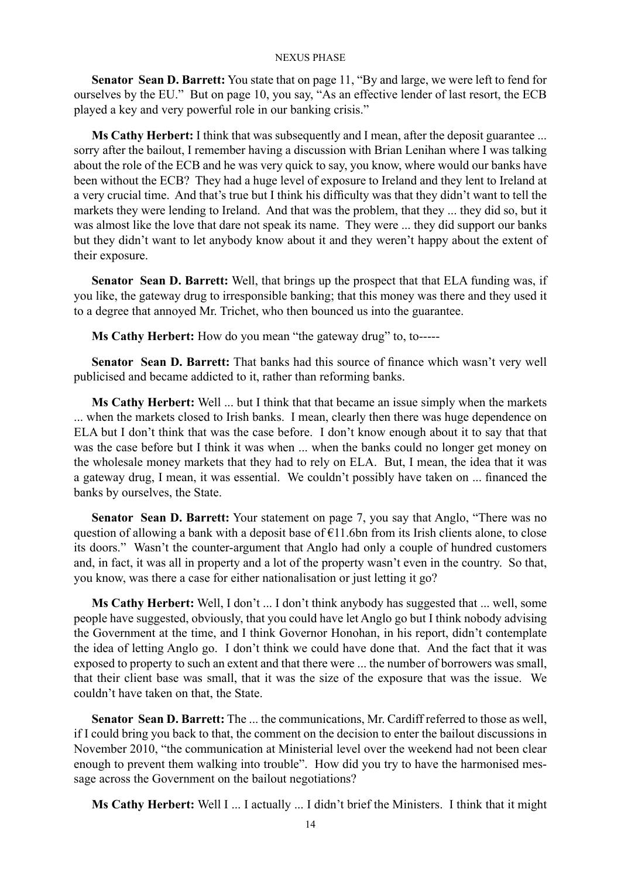**Senator Sean D. Barrett:** You state that on page 11, "By and large, we were left to fend for ourselves by the EU." But on page 10, you say, "As an effective lender of last resort, the ECB played a key and very powerful role in our banking crisis."

**Ms Cathy Herbert:** I think that was subsequently and I mean, after the deposit guarantee ... sorry after the bailout, I remember having a discussion with Brian Lenihan where I was talking about the role of the ECB and he was very quick to say, you know, where would our banks have been without the ECB? They had a huge level of exposure to Ireland and they lent to Ireland at a very crucial time. And that's true but I think his difficulty was that they didn't want to tell the markets they were lending to Ireland. And that was the problem, that they ... they did so, but it was almost like the love that dare not speak its name. They were ... they did support our banks but they didn't want to let anybody know about it and they weren't happy about the extent of their exposure.

**Senator Sean D. Barrett:** Well, that brings up the prospect that that ELA funding was, if you like, the gateway drug to irresponsible banking; that this money was there and they used it to a degree that annoyed Mr. Trichet, who then bounced us into the guarantee.

**Ms Cathy Herbert:** How do you mean "the gateway drug" to, to-----

**Senator Sean D. Barrett:** That banks had this source of finance which wasn't very well publicised and became addicted to it, rather than reforming banks.

**Ms Cathy Herbert:** Well ... but I think that that became an issue simply when the markets ... when the markets closed to Irish banks. I mean, clearly then there was huge dependence on ELA but I don't think that was the case before. I don't know enough about it to say that that was the case before but I think it was when ... when the banks could no longer get money on the wholesale money markets that they had to rely on ELA. But, I mean, the idea that it was a gateway drug, I mean, it was essential. We couldn't possibly have taken on ... financed the banks by ourselves, the State.

**Senator Sean D. Barrett:** Your statement on page 7, you say that Anglo, "There was no question of allowing a bank with a deposit base of  $\widehat{E11}$ .6bn from its Irish clients alone, to close its doors." Wasn't the counter-argument that Anglo had only a couple of hundred customers and, in fact, it was all in property and a lot of the property wasn't even in the country. So that, you know, was there a case for either nationalisation or just letting it go?

**Ms Cathy Herbert:** Well, I don't ... I don't think anybody has suggested that ... well, some people have suggested, obviously, that you could have let Anglo go but I think nobody advising the Government at the time, and I think Governor Honohan, in his report, didn't contemplate the idea of letting Anglo go. I don't think we could have done that. And the fact that it was exposed to property to such an extent and that there were ... the number of borrowers was small, that their client base was small, that it was the size of the exposure that was the issue. We couldn't have taken on that, the State.

**Senator Sean D. Barrett:** The ... the communications, Mr. Cardiff referred to those as well, if I could bring you back to that, the comment on the decision to enter the bailout discussions in November 2010, "the communication at Ministerial level over the weekend had not been clear enough to prevent them walking into trouble". How did you try to have the harmonised message across the Government on the bailout negotiations?

**Ms Cathy Herbert:** Well I ... I actually ... I didn't brief the Ministers. I think that it might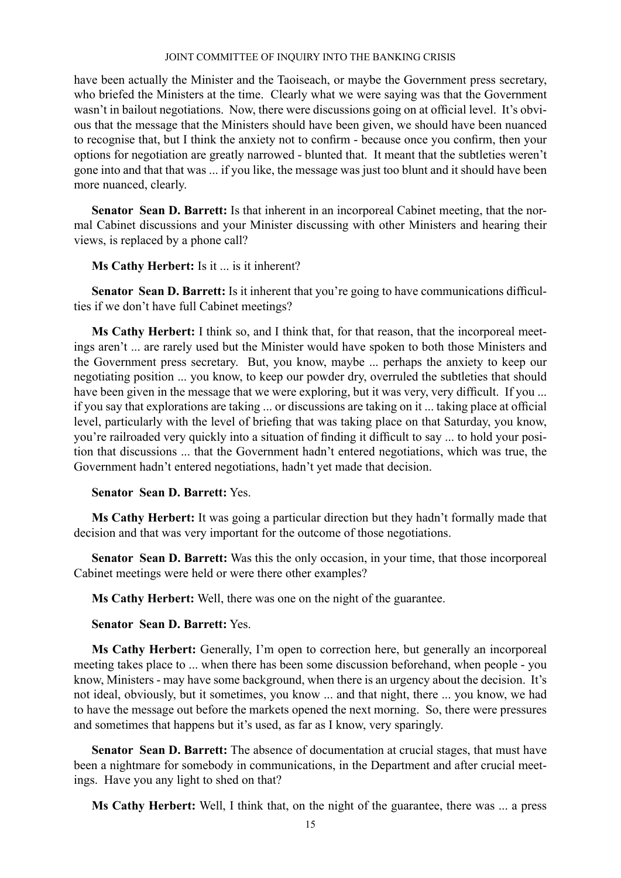have been actually the Minister and the Taoiseach, or maybe the Government press secretary, who briefed the Ministers at the time. Clearly what we were saying was that the Government wasn't in bailout negotiations. Now, there were discussions going on at official level. It's obvious that the message that the Ministers should have been given, we should have been nuanced to recognise that, but I think the anxiety not to confirm - because once you confirm, then your options for negotiation are greatly narrowed - blunted that. It meant that the subtleties weren't gone into and that that was ... if you like, the message was just too blunt and it should have been more nuanced, clearly.

**Senator Sean D. Barrett:** Is that inherent in an incorporeal Cabinet meeting, that the normal Cabinet discussions and your Minister discussing with other Ministers and hearing their views, is replaced by a phone call?

**Ms Cathy Herbert:** Is it ... is it inherent?

**Senator Sean D. Barrett:** Is it inherent that you're going to have communications difficulties if we don't have full Cabinet meetings?

**Ms Cathy Herbert:** I think so, and I think that, for that reason, that the incorporeal meetings aren't ... are rarely used but the Minister would have spoken to both those Ministers and the Government press secretary. But, you know, maybe ... perhaps the anxiety to keep our negotiating position ... you know, to keep our powder dry, overruled the subtleties that should have been given in the message that we were exploring, but it was very, very difficult. If you ... if you say that explorations are taking ... or discussions are taking on it ... taking place at official level, particularly with the level of briefing that was taking place on that Saturday, you know, you're railroaded very quickly into a situation of finding it difficult to say ... to hold your position that discussions ... that the Government hadn't entered negotiations, which was true, the Government hadn't entered negotiations, hadn't yet made that decision.

## **Senator Sean D. Barrett:** Yes.

**Ms Cathy Herbert:** It was going a particular direction but they hadn't formally made that decision and that was very important for the outcome of those negotiations.

**Senator Sean D. Barrett:** Was this the only occasion, in your time, that those incorporeal Cabinet meetings were held or were there other examples?

**Ms Cathy Herbert:** Well, there was one on the night of the guarantee.

## **Senator Sean D. Barrett:** Yes.

**Ms Cathy Herbert:** Generally, I'm open to correction here, but generally an incorporeal meeting takes place to ... when there has been some discussion beforehand, when people - you know, Ministers - may have some background, when there is an urgency about the decision. It's not ideal, obviously, but it sometimes, you know ... and that night, there ... you know, we had to have the message out before the markets opened the next morning. So, there were pressures and sometimes that happens but it's used, as far as I know, very sparingly.

**Senator Sean D. Barrett:** The absence of documentation at crucial stages, that must have been a nightmare for somebody in communications, in the Department and after crucial meetings. Have you any light to shed on that?

**Ms Cathy Herbert:** Well, I think that, on the night of the guarantee, there was ... a press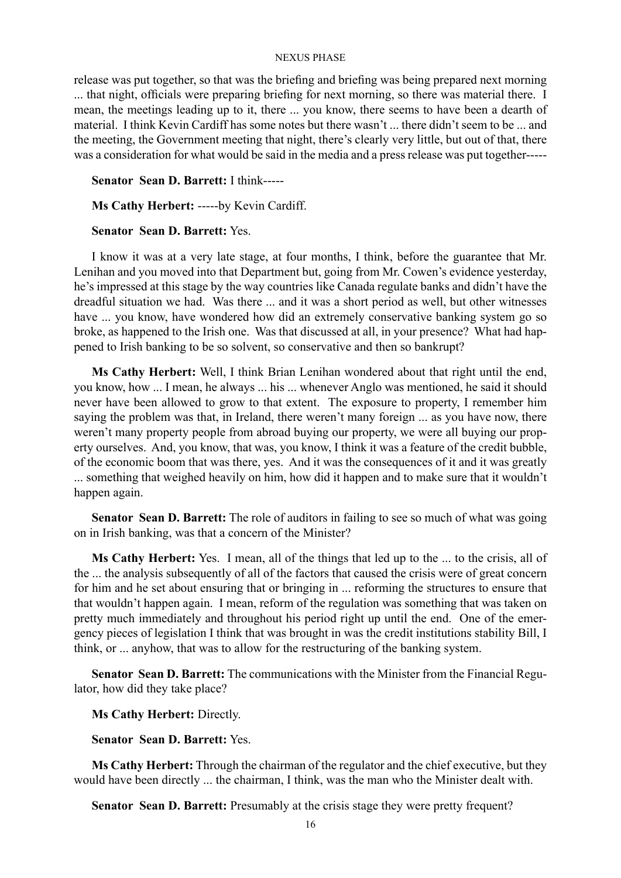release was put together, so that was the briefing and briefing was being prepared next morning ... that night, officials were preparing briefing for next morning, so there was material there. I mean, the meetings leading up to it, there ... you know, there seems to have been a dearth of material. I think Kevin Cardiff has some notes but there wasn't ... there didn't seem to be ... and the meeting, the Government meeting that night, there's clearly very little, but out of that, there was a consideration for what would be said in the media and a press release was put together-----

**Senator Sean D. Barrett:** I think-----

**Ms Cathy Herbert:** -----by Kevin Cardiff.

## **Senator Sean D. Barrett:** Yes.

I know it was at a very late stage, at four months, I think, before the guarantee that Mr. Lenihan and you moved into that Department but, going from Mr. Cowen's evidence yesterday, he's impressed at this stage by the way countries like Canada regulate banks and didn't have the dreadful situation we had. Was there ... and it was a short period as well, but other witnesses have ... you know, have wondered how did an extremely conservative banking system go so broke, as happened to the Irish one. Was that discussed at all, in your presence? What had happened to Irish banking to be so solvent, so conservative and then so bankrupt?

**Ms Cathy Herbert:** Well, I think Brian Lenihan wondered about that right until the end, you know, how ... I mean, he always ... his ... whenever Anglo was mentioned, he said it should never have been allowed to grow to that extent. The exposure to property, I remember him saying the problem was that, in Ireland, there weren't many foreign ... as you have now, there weren't many property people from abroad buying our property, we were all buying our property ourselves. And, you know, that was, you know, I think it was a feature of the credit bubble, of the economic boom that was there, yes. And it was the consequences of it and it was greatly ... something that weighed heavily on him, how did it happen and to make sure that it wouldn't happen again.

**Senator Sean D. Barrett:** The role of auditors in failing to see so much of what was going on in Irish banking, was that a concern of the Minister?

**Ms Cathy Herbert:** Yes. I mean, all of the things that led up to the ... to the crisis, all of the ... the analysis subsequently of all of the factors that caused the crisis were of great concern for him and he set about ensuring that or bringing in ... reforming the structures to ensure that that wouldn't happen again. I mean, reform of the regulation was something that was taken on pretty much immediately and throughout his period right up until the end. One of the emergency pieces of legislation I think that was brought in was the credit institutions stability Bill, I think, or ... anyhow, that was to allow for the restructuring of the banking system.

**Senator Sean D. Barrett:** The communications with the Minister from the Financial Regulator, how did they take place?

**Ms Cathy Herbert:** Directly.

**Senator Sean D. Barrett:** Yes.

**Ms Cathy Herbert:** Through the chairman of the regulator and the chief executive, but they would have been directly ... the chairman, I think, was the man who the Minister dealt with.

**Senator Sean D. Barrett:** Presumably at the crisis stage they were pretty frequent?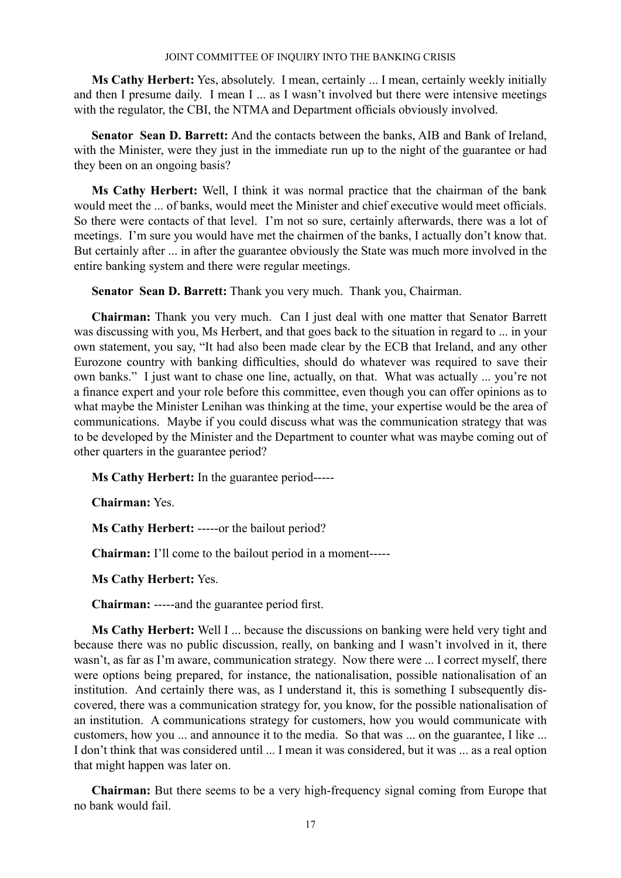**Ms Cathy Herbert:** Yes, absolutely. I mean, certainly ... I mean, certainly weekly initially and then I presume daily. I mean I ... as I wasn't involved but there were intensive meetings with the regulator, the CBI, the NTMA and Department officials obviously involved.

**Senator Sean D. Barrett:** And the contacts between the banks, AIB and Bank of Ireland, with the Minister, were they just in the immediate run up to the night of the guarantee or had they been on an ongoing basis?

**Ms Cathy Herbert:** Well, I think it was normal practice that the chairman of the bank would meet the ... of banks, would meet the Minister and chief executive would meet officials. So there were contacts of that level. I'm not so sure, certainly afterwards, there was a lot of meetings. I'm sure you would have met the chairmen of the banks, I actually don't know that. But certainly after ... in after the guarantee obviously the State was much more involved in the entire banking system and there were regular meetings.

**Senator Sean D. Barrett:** Thank you very much. Thank you, Chairman.

**Chairman:** Thank you very much. Can I just deal with one matter that Senator Barrett was discussing with you, Ms Herbert, and that goes back to the situation in regard to ... in your own statement, you say, "It had also been made clear by the ECB that Ireland, and any other Eurozone country with banking difficulties, should do whatever was required to save their own banks." I just want to chase one line, actually, on that. What was actually ... you're not a finance expert and your role before this committee, even though you can offer opinions as to what maybe the Minister Lenihan was thinking at the time, your expertise would be the area of communications. Maybe if you could discuss what was the communication strategy that was to be developed by the Minister and the Department to counter what was maybe coming out of other quarters in the guarantee period?

**Ms Cathy Herbert:** In the guarantee period-----

**Chairman:** Yes.

**Ms Cathy Herbert:** -----or the bailout period?

**Chairman:** I'll come to the bailout period in a moment-----

**Ms Cathy Herbert:** Yes.

**Chairman:** -----and the guarantee period first.

**Ms Cathy Herbert:** Well I ... because the discussions on banking were held very tight and because there was no public discussion, really, on banking and I wasn't involved in it, there wasn't, as far as I'm aware, communication strategy. Now there were ... I correct myself, there were options being prepared, for instance, the nationalisation, possible nationalisation of an institution. And certainly there was, as I understand it, this is something I subsequently discovered, there was a communication strategy for, you know, for the possible nationalisation of an institution. A communications strategy for customers, how you would communicate with customers, how you ... and announce it to the media. So that was ... on the guarantee, I like ... I don't think that was considered until ... I mean it was considered, but it was ... as a real option that might happen was later on.

**Chairman:** But there seems to be a very high-frequency signal coming from Europe that no bank would fail.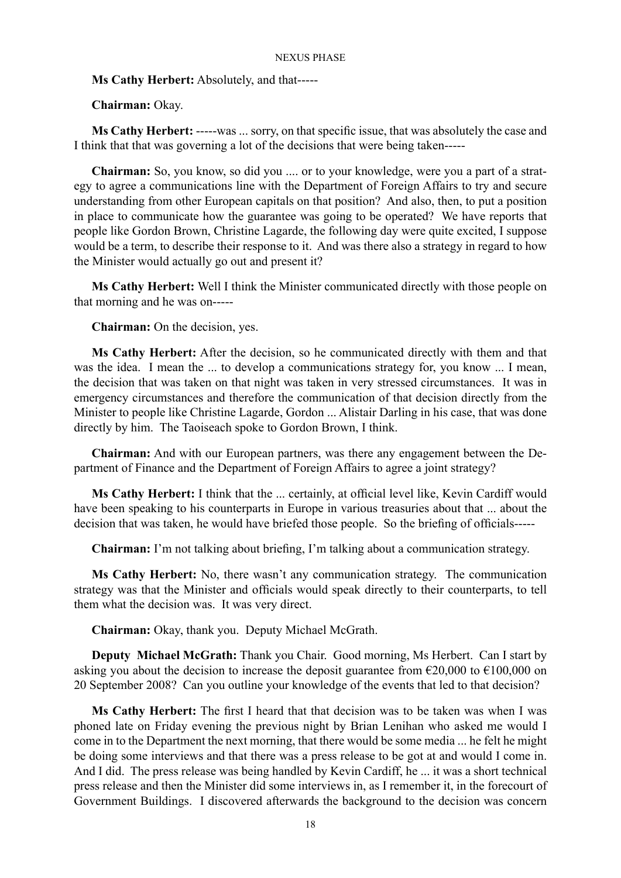**Ms Cathy Herbert:** Absolutely, and that-----

**Chairman:** Okay.

**Ms Cathy Herbert:** -----was ... sorry, on that specific issue, that was absolutely the case and I think that that was governing a lot of the decisions that were being taken-----

**Chairman:** So, you know, so did you .... or to your knowledge, were you a part of a strategy to agree a communications line with the Department of Foreign Affairs to try and secure understanding from other European capitals on that position? And also, then, to put a position in place to communicate how the guarantee was going to be operated? We have reports that people like Gordon Brown, Christine Lagarde, the following day were quite excited, I suppose would be a term, to describe their response to it. And was there also a strategy in regard to how the Minister would actually go out and present it?

**Ms Cathy Herbert:** Well I think the Minister communicated directly with those people on that morning and he was on-----

**Chairman:** On the decision, yes.

**Ms Cathy Herbert:** After the decision, so he communicated directly with them and that was the idea. I mean the ... to develop a communications strategy for, you know ... I mean, the decision that was taken on that night was taken in very stressed circumstances. It was in emergency circumstances and therefore the communication of that decision directly from the Minister to people like Christine Lagarde, Gordon ... Alistair Darling in his case, that was done directly by him. The Taoiseach spoke to Gordon Brown, I think.

**Chairman:** And with our European partners, was there any engagement between the Department of Finance and the Department of Foreign Affairs to agree a joint strategy?

**Ms Cathy Herbert:** I think that the ... certainly, at official level like, Kevin Cardiff would have been speaking to his counterparts in Europe in various treasuries about that ... about the decision that was taken, he would have briefed those people. So the briefing of officials-----

**Chairman:** I'm not talking about briefing, I'm talking about a communication strategy.

**Ms Cathy Herbert:** No, there wasn't any communication strategy. The communication strategy was that the Minister and officials would speak directly to their counterparts, to tell them what the decision was. It was very direct.

**Chairman:** Okay, thank you. Deputy Michael McGrath.

**Deputy Michael McGrath:** Thank you Chair. Good morning, Ms Herbert. Can I start by asking you about the decision to increase the deposit guarantee from  $\epsilon$ 20,000 to  $\epsilon$ 100,000 on 20 September 2008? Can you outline your knowledge of the events that led to that decision?

**Ms Cathy Herbert:** The first I heard that that decision was to be taken was when I was phoned late on Friday evening the previous night by Brian Lenihan who asked me would I come in to the Department the next morning, that there would be some media ... he felt he might be doing some interviews and that there was a press release to be got at and would I come in. And I did. The press release was being handled by Kevin Cardiff, he ... it was a short technical press release and then the Minister did some interviews in, as I remember it, in the forecourt of Government Buildings. I discovered afterwards the background to the decision was concern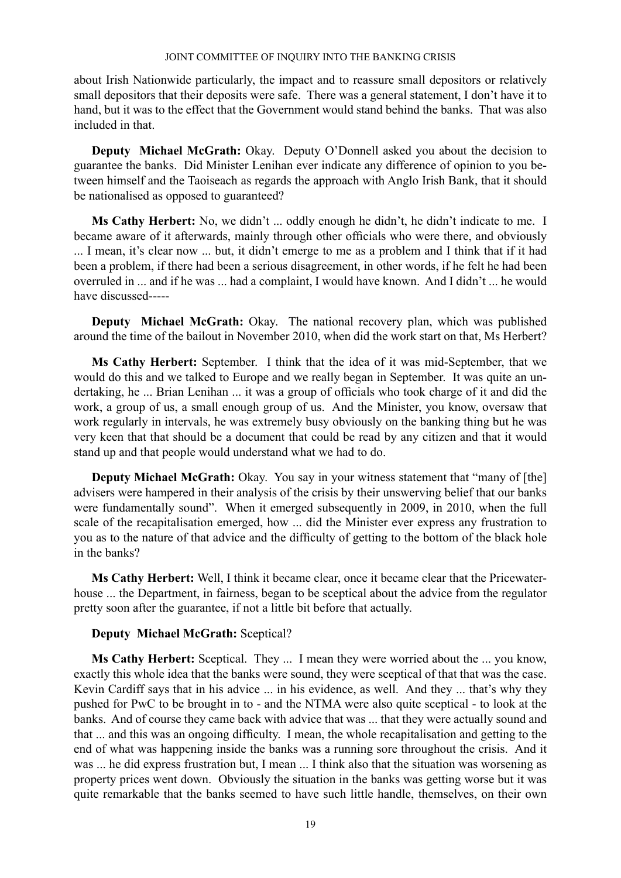about Irish Nationwide particularly, the impact and to reassure small depositors or relatively small depositors that their deposits were safe. There was a general statement, I don't have it to hand, but it was to the effect that the Government would stand behind the banks. That was also included in that.

**Deputy Michael McGrath:** Okay. Deputy O'Donnell asked you about the decision to guarantee the banks. Did Minister Lenihan ever indicate any difference of opinion to you between himself and the Taoiseach as regards the approach with Anglo Irish Bank, that it should be nationalised as opposed to guaranteed?

**Ms Cathy Herbert:** No, we didn't ... oddly enough he didn't, he didn't indicate to me. I became aware of it afterwards, mainly through other officials who were there, and obviously ... I mean, it's clear now ... but, it didn't emerge to me as a problem and I think that if it had been a problem, if there had been a serious disagreement, in other words, if he felt he had been overruled in ... and if he was ... had a complaint, I would have known. And I didn't ... he would have discussed-----

**Deputy Michael McGrath:** Okay. The national recovery plan, which was published around the time of the bailout in November 2010, when did the work start on that, Ms Herbert?

**Ms Cathy Herbert:** September. I think that the idea of it was mid-September, that we would do this and we talked to Europe and we really began in September. It was quite an undertaking, he ... Brian Lenihan ... it was a group of officials who took charge of it and did the work, a group of us, a small enough group of us. And the Minister, you know, oversaw that work regularly in intervals, he was extremely busy obviously on the banking thing but he was very keen that that should be a document that could be read by any citizen and that it would stand up and that people would understand what we had to do.

**Deputy Michael McGrath:** Okay. You say in your witness statement that "many of [the] advisers were hampered in their analysis of the crisis by their unswerving belief that our banks were fundamentally sound". When it emerged subsequently in 2009, in 2010, when the full scale of the recapitalisation emerged, how ... did the Minister ever express any frustration to you as to the nature of that advice and the difficulty of getting to the bottom of the black hole in the banks?

**Ms Cathy Herbert:** Well, I think it became clear, once it became clear that the Pricewaterhouse ... the Department, in fairness, began to be sceptical about the advice from the regulator pretty soon after the guarantee, if not a little bit before that actually.

## **Deputy Michael McGrath:** Sceptical?

**Ms Cathy Herbert:** Sceptical. They ... I mean they were worried about the ... you know, exactly this whole idea that the banks were sound, they were sceptical of that that was the case. Kevin Cardiff says that in his advice ... in his evidence, as well. And they ... that's why they pushed for PwC to be brought in to - and the NTMA were also quite sceptical - to look at the banks. And of course they came back with advice that was ... that they were actually sound and that ... and this was an ongoing difficulty. I mean, the whole recapitalisation and getting to the end of what was happening inside the banks was a running sore throughout the crisis. And it was ... he did express frustration but, I mean ... I think also that the situation was worsening as property prices went down. Obviously the situation in the banks was getting worse but it was quite remarkable that the banks seemed to have such little handle, themselves, on their own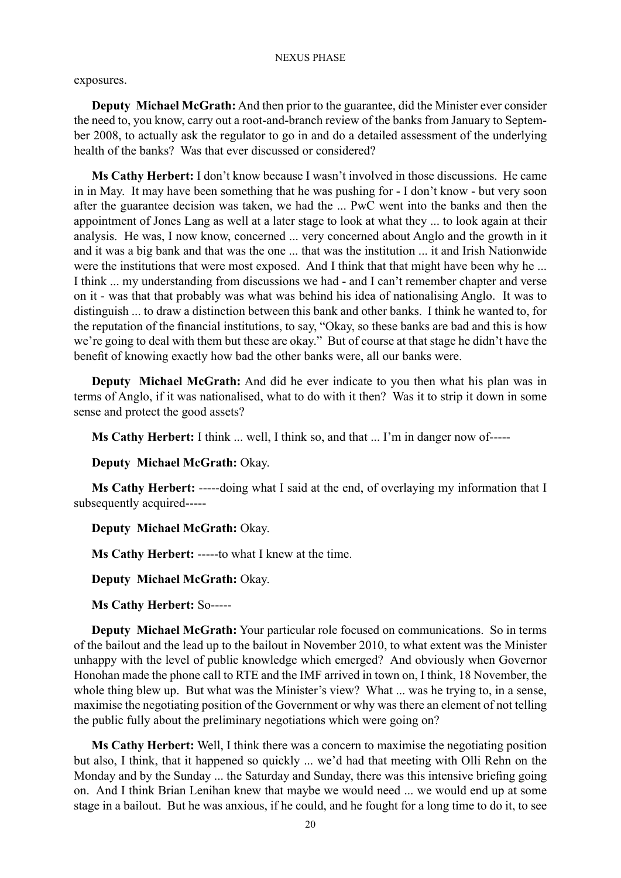exposures.

**Deputy Michael McGrath:** And then prior to the guarantee, did the Minister ever consider the need to, you know, carry out a root-and-branch review of the banks from January to September 2008, to actually ask the regulator to go in and do a detailed assessment of the underlying health of the banks? Was that ever discussed or considered?

**Ms Cathy Herbert:** I don't know because I wasn't involved in those discussions. He came in in May. It may have been something that he was pushing for - I don't know - but very soon after the guarantee decision was taken, we had the ... PwC went into the banks and then the appointment of Jones Lang as well at a later stage to look at what they ... to look again at their analysis. He was, I now know, concerned ... very concerned about Anglo and the growth in it and it was a big bank and that was the one ... that was the institution ... it and Irish Nationwide were the institutions that were most exposed. And I think that that might have been why he ... I think ... my understanding from discussions we had - and I can't remember chapter and verse on it - was that that probably was what was behind his idea of nationalising Anglo. It was to distinguish ... to draw a distinction between this bank and other banks. I think he wanted to, for the reputation of the financial institutions, to say, "Okay, so these banks are bad and this is how we're going to deal with them but these are okay." But of course at that stage he didn't have the benefit of knowing exactly how bad the other banks were, all our banks were.

**Deputy Michael McGrath:** And did he ever indicate to you then what his plan was in terms of Anglo, if it was nationalised, what to do with it then? Was it to strip it down in some sense and protect the good assets?

**Ms Cathy Herbert:** I think ... well, I think so, and that ... I'm in danger now of-----

**Deputy Michael McGrath:** Okay.

**Ms Cathy Herbert:** -----doing what I said at the end, of overlaying my information that I subsequently acquired-----

**Deputy Michael McGrath:** Okay.

**Ms Cathy Herbert:** -----to what I knew at the time.

**Deputy Michael McGrath:** Okay.

**Ms Cathy Herbert:** So-----

**Deputy Michael McGrath:** Your particular role focused on communications. So in terms of the bailout and the lead up to the bailout in November 2010, to what extent was the Minister unhappy with the level of public knowledge which emerged? And obviously when Governor Honohan made the phone call to RTE and the IMF arrived in town on, I think, 18 November, the whole thing blew up. But what was the Minister's view? What ... was he trying to, in a sense, maximise the negotiating position of the Government or why was there an element of not telling the public fully about the preliminary negotiations which were going on?

**Ms Cathy Herbert:** Well, I think there was a concern to maximise the negotiating position but also, I think, that it happened so quickly ... we'd had that meeting with Olli Rehn on the Monday and by the Sunday ... the Saturday and Sunday, there was this intensive briefing going on. And I think Brian Lenihan knew that maybe we would need ... we would end up at some stage in a bailout. But he was anxious, if he could, and he fought for a long time to do it, to see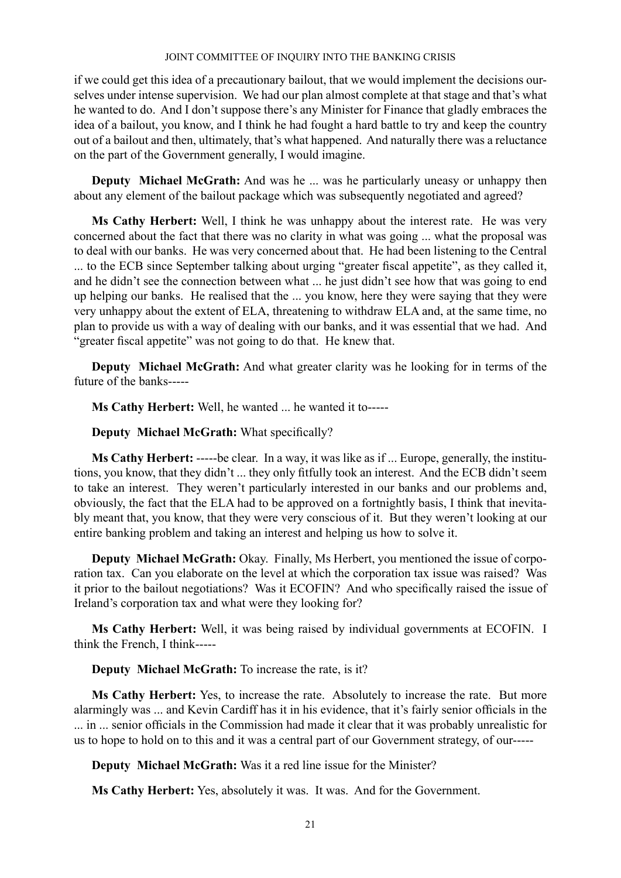if we could get this idea of a precautionary bailout, that we would implement the decisions ourselves under intense supervision. We had our plan almost complete at that stage and that's what he wanted to do. And I don't suppose there's any Minister for Finance that gladly embraces the idea of a bailout, you know, and I think he had fought a hard battle to try and keep the country out of a bailout and then, ultimately, that's what happened. And naturally there was a reluctance on the part of the Government generally, I would imagine.

**Deputy Michael McGrath:** And was he ... was he particularly uneasy or unhappy then about any element of the bailout package which was subsequently negotiated and agreed?

**Ms Cathy Herbert:** Well, I think he was unhappy about the interest rate. He was very concerned about the fact that there was no clarity in what was going ... what the proposal was to deal with our banks. He was very concerned about that. He had been listening to the Central ... to the ECB since September talking about urging "greater fiscal appetite", as they called it, and he didn't see the connection between what ... he just didn't see how that was going to end up helping our banks. He realised that the ... you know, here they were saying that they were very unhappy about the extent of ELA, threatening to withdraw ELA and, at the same time, no plan to provide us with a way of dealing with our banks, and it was essential that we had. And "greater fiscal appetite" was not going to do that. He knew that.

**Deputy Michael McGrath:** And what greater clarity was he looking for in terms of the future of the banks-----

**Ms Cathy Herbert:** Well, he wanted ... he wanted it to-----

**Deputy Michael McGrath:** What specifically?

**Ms Cathy Herbert:** -----be clear. In a way, it was like as if ... Europe, generally, the institutions, you know, that they didn't ... they only fitfully took an interest. And the ECB didn't seem to take an interest. They weren't particularly interested in our banks and our problems and, obviously, the fact that the ELA had to be approved on a fortnightly basis, I think that inevitably meant that, you know, that they were very conscious of it. But they weren't looking at our entire banking problem and taking an interest and helping us how to solve it.

**Deputy Michael McGrath:** Okay. Finally, Ms Herbert, you mentioned the issue of corporation tax. Can you elaborate on the level at which the corporation tax issue was raised? Was it prior to the bailout negotiations? Was it ECOFIN? And who specifically raised the issue of Ireland's corporation tax and what were they looking for?

**Ms Cathy Herbert:** Well, it was being raised by individual governments at ECOFIN. I think the French, I think-----

**Deputy Michael McGrath:** To increase the rate, is it?

**Ms Cathy Herbert:** Yes, to increase the rate. Absolutely to increase the rate. But more alarmingly was ... and Kevin Cardiff has it in his evidence, that it's fairly senior officials in the ... in ... senior officials in the Commission had made it clear that it was probably unrealistic for us to hope to hold on to this and it was a central part of our Government strategy, of our-----

**Deputy Michael McGrath:** Was it a red line issue for the Minister?

**Ms Cathy Herbert:** Yes, absolutely it was. It was. And for the Government.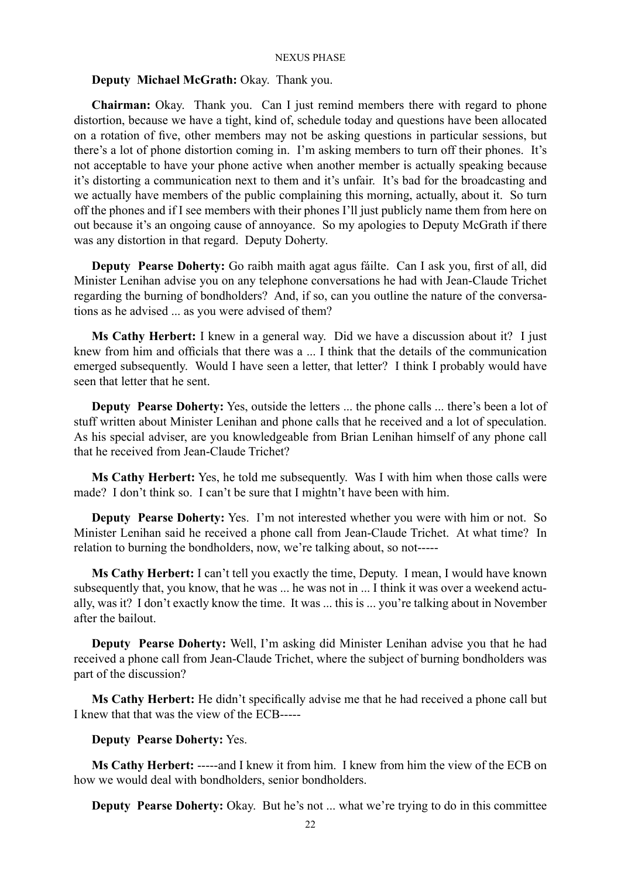## **Deputy Michael McGrath:** Okay. Thank you.

**Chairman:** Okay. Thank you. Can I just remind members there with regard to phone distortion, because we have a tight, kind of, schedule today and questions have been allocated on a rotation of five, other members may not be asking questions in particular sessions, but there's a lot of phone distortion coming in. I'm asking members to turn off their phones. It's not acceptable to have your phone active when another member is actually speaking because it's distorting a communication next to them and it's unfair. It's bad for the broadcasting and we actually have members of the public complaining this morning, actually, about it. So turn off the phones and if I see members with their phones I'll just publicly name them from here on out because it's an ongoing cause of annoyance. So my apologies to Deputy McGrath if there was any distortion in that regard. Deputy Doherty.

**Deputy Pearse Doherty:** Go raibh maith agat agus fáilte. Can I ask you, first of all, did Minister Lenihan advise you on any telephone conversations he had with Jean-Claude Trichet regarding the burning of bondholders? And, if so, can you outline the nature of the conversations as he advised ... as you were advised of them?

**Ms Cathy Herbert:** I knew in a general way. Did we have a discussion about it? I just knew from him and officials that there was a ... I think that the details of the communication emerged subsequently. Would I have seen a letter, that letter? I think I probably would have seen that letter that he sent.

**Deputy Pearse Doherty:** Yes, outside the letters ... the phone calls ... there's been a lot of stuff written about Minister Lenihan and phone calls that he received and a lot of speculation. As his special adviser, are you knowledgeable from Brian Lenihan himself of any phone call that he received from Jean-Claude Trichet?

**Ms Cathy Herbert:** Yes, he told me subsequently. Was I with him when those calls were made? I don't think so. I can't be sure that I mightn't have been with him.

**Deputy Pearse Doherty:** Yes. I'm not interested whether you were with him or not. So Minister Lenihan said he received a phone call from Jean-Claude Trichet. At what time? In relation to burning the bondholders, now, we're talking about, so not-----

**Ms Cathy Herbert:** I can't tell you exactly the time, Deputy. I mean, I would have known subsequently that, you know, that he was ... he was not in ... I think it was over a weekend actually, was it? I don't exactly know the time. It was ... this is ... you're talking about in November after the bailout.

**Deputy Pearse Doherty:** Well, I'm asking did Minister Lenihan advise you that he had received a phone call from Jean-Claude Trichet, where the subject of burning bondholders was part of the discussion?

**Ms Cathy Herbert:** He didn't specifically advise me that he had received a phone call but I knew that that was the view of the ECB-----

**Deputy Pearse Doherty:** Yes.

**Ms Cathy Herbert:** -----and I knew it from him. I knew from him the view of the ECB on how we would deal with bondholders, senior bondholders.

**Deputy Pearse Doherty:** Okay. But he's not ... what we're trying to do in this committee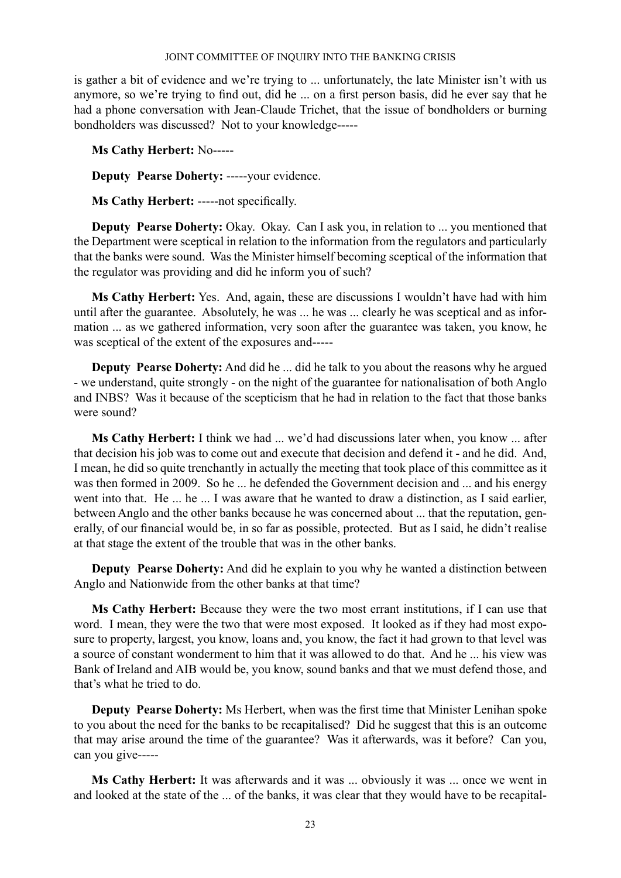is gather a bit of evidence and we're trying to ... unfortunately, the late Minister isn't with us anymore, so we're trying to find out, did he ... on a first person basis, did he ever say that he had a phone conversation with Jean-Claude Trichet, that the issue of bondholders or burning bondholders was discussed? Not to your knowledge-----

**Ms Cathy Herbert:** No-----

**Deputy Pearse Doherty:** -----your evidence.

**Ms Cathy Herbert:** -----not specifically.

**Deputy Pearse Doherty:** Okay. Okay. Can I ask you, in relation to ... you mentioned that the Department were sceptical in relation to the information from the regulators and particularly that the banks were sound. Was the Minister himself becoming sceptical of the information that the regulator was providing and did he inform you of such?

**Ms Cathy Herbert:** Yes. And, again, these are discussions I wouldn't have had with him until after the guarantee. Absolutely, he was ... he was ... clearly he was sceptical and as information ... as we gathered information, very soon after the guarantee was taken, you know, he was sceptical of the extent of the exposures and-----

**Deputy Pearse Doherty:** And did he ... did he talk to you about the reasons why he argued - we understand, quite strongly - on the night of the guarantee for nationalisation of both Anglo and INBS? Was it because of the scepticism that he had in relation to the fact that those banks were sound?

**Ms Cathy Herbert:** I think we had ... we'd had discussions later when, you know ... after that decision his job was to come out and execute that decision and defend it - and he did. And, I mean, he did so quite trenchantly in actually the meeting that took place of this committee as it was then formed in 2009. So he ... he defended the Government decision and ... and his energy went into that. He ... he ... I was aware that he wanted to draw a distinction, as I said earlier, between Anglo and the other banks because he was concerned about ... that the reputation, generally, of our financial would be, in so far as possible, protected. But as I said, he didn't realise at that stage the extent of the trouble that was in the other banks.

**Deputy Pearse Doherty:** And did he explain to you why he wanted a distinction between Anglo and Nationwide from the other banks at that time?

**Ms Cathy Herbert:** Because they were the two most errant institutions, if I can use that word. I mean, they were the two that were most exposed. It looked as if they had most exposure to property, largest, you know, loans and, you know, the fact it had grown to that level was a source of constant wonderment to him that it was allowed to do that. And he ... his view was Bank of Ireland and AIB would be, you know, sound banks and that we must defend those, and that's what he tried to do.

**Deputy Pearse Doherty:** Ms Herbert, when was the first time that Minister Lenihan spoke to you about the need for the banks to be recapitalised? Did he suggest that this is an outcome that may arise around the time of the guarantee? Was it afterwards, was it before? Can you, can you give-----

**Ms Cathy Herbert:** It was afterwards and it was ... obviously it was ... once we went in and looked at the state of the ... of the banks, it was clear that they would have to be recapital-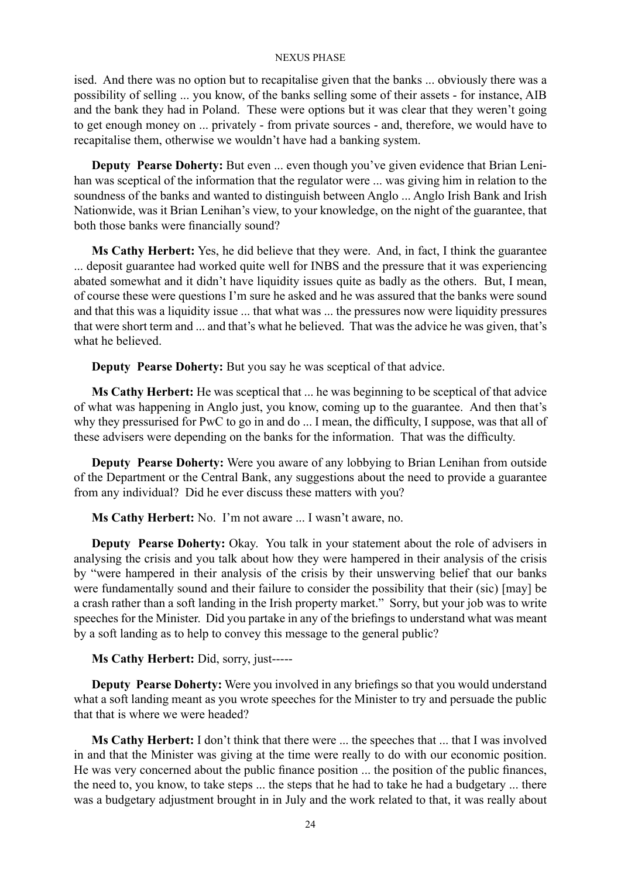ised. And there was no option but to recapitalise given that the banks ... obviously there was a possibility of selling ... you know, of the banks selling some of their assets - for instance, AIB and the bank they had in Poland. These were options but it was clear that they weren't going to get enough money on ... privately - from private sources - and, therefore, we would have to recapitalise them, otherwise we wouldn't have had a banking system.

**Deputy Pearse Doherty:** But even ... even though you've given evidence that Brian Lenihan was sceptical of the information that the regulator were ... was giving him in relation to the soundness of the banks and wanted to distinguish between Anglo ... Anglo Irish Bank and Irish Nationwide, was it Brian Lenihan's view, to your knowledge, on the night of the guarantee, that both those banks were financially sound?

**Ms Cathy Herbert:** Yes, he did believe that they were. And, in fact, I think the guarantee ... deposit guarantee had worked quite well for INBS and the pressure that it was experiencing abated somewhat and it didn't have liquidity issues quite as badly as the others. But, I mean, of course these were questions I'm sure he asked and he was assured that the banks were sound and that this was a liquidity issue ... that what was ... the pressures now were liquidity pressures that were short term and ... and that's what he believed. That was the advice he was given, that's what he believed.

**Deputy Pearse Doherty:** But you say he was sceptical of that advice.

**Ms Cathy Herbert:** He was sceptical that ... he was beginning to be sceptical of that advice of what was happening in Anglo just, you know, coming up to the guarantee. And then that's why they pressurised for PwC to go in and do ... I mean, the difficulty, I suppose, was that all of these advisers were depending on the banks for the information. That was the difficulty.

**Deputy Pearse Doherty:** Were you aware of any lobbying to Brian Lenihan from outside of the Department or the Central Bank, any suggestions about the need to provide a guarantee from any individual? Did he ever discuss these matters with you?

**Ms Cathy Herbert:** No. I'm not aware ... I wasn't aware, no.

**Deputy Pearse Doherty:** Okay. You talk in your statement about the role of advisers in analysing the crisis and you talk about how they were hampered in their analysis of the crisis by "were hampered in their analysis of the crisis by their unswerving belief that our banks were fundamentally sound and their failure to consider the possibility that their (sic) [may] be a crash rather than a soft landing in the Irish property market." Sorry, but your job was to write speeches for the Minister. Did you partake in any of the briefings to understand what was meant by a soft landing as to help to convey this message to the general public?

**Ms Cathy Herbert:** Did, sorry, just-----

**Deputy Pearse Doherty:** Were you involved in any briefings so that you would understand what a soft landing meant as you wrote speeches for the Minister to try and persuade the public that that is where we were headed?

**Ms Cathy Herbert:** I don't think that there were ... the speeches that ... that I was involved in and that the Minister was giving at the time were really to do with our economic position. He was very concerned about the public finance position ... the position of the public finances, the need to, you know, to take steps ... the steps that he had to take he had a budgetary ... there was a budgetary adjustment brought in in July and the work related to that, it was really about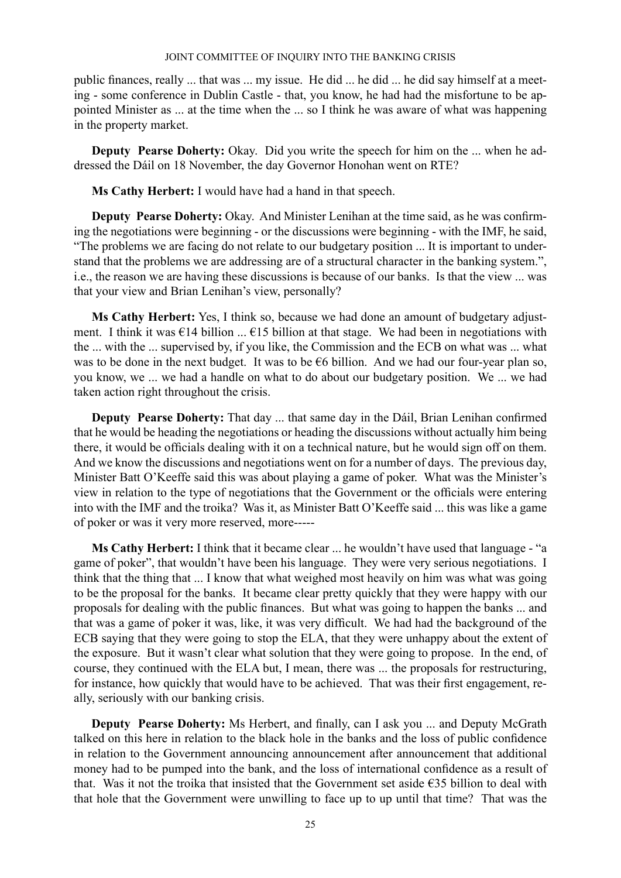public finances, really ... that was ... my issue. He did ... he did ... he did say himself at a meeting - some conference in Dublin Castle - that, you know, he had had the misfortune to be appointed Minister as ... at the time when the ... so I think he was aware of what was happening in the property market.

**Deputy Pearse Doherty:** Okay. Did you write the speech for him on the ... when he addressed the Dáil on 18 November, the day Governor Honohan went on RTE?

**Ms Cathy Herbert:** I would have had a hand in that speech.

**Deputy Pearse Doherty:** Okay. And Minister Lenihan at the time said, as he was confirming the negotiations were beginning - or the discussions were beginning - with the IMF, he said, "The problems we are facing do not relate to our budgetary position ... It is important to understand that the problems we are addressing are of a structural character in the banking system.", i.e., the reason we are having these discussions is because of our banks. Is that the view ... was that your view and Brian Lenihan's view, personally?

**Ms Cathy Herbert:** Yes, I think so, because we had done an amount of budgetary adjustment. I think it was  $\epsilon$ 14 billion ...  $\epsilon$ 15 billion at that stage. We had been in negotiations with the ... with the ... supervised by, if you like, the Commission and the ECB on what was ... what was to be done in the next budget. It was to be €6 billion. And we had our four-year plan so, you know, we ... we had a handle on what to do about our budgetary position. We ... we had taken action right throughout the crisis.

**Deputy Pearse Doherty:** That day ... that same day in the Dáil, Brian Lenihan confirmed that he would be heading the negotiations or heading the discussions without actually him being there, it would be officials dealing with it on a technical nature, but he would sign off on them. And we know the discussions and negotiations went on for a number of days. The previous day, Minister Batt O'Keeffe said this was about playing a game of poker. What was the Minister's view in relation to the type of negotiations that the Government or the officials were entering into with the IMF and the troika? Was it, as Minister Batt O'Keeffe said ... this was like a game of poker or was it very more reserved, more-----

**Ms Cathy Herbert:** I think that it became clear ... he wouldn't have used that language - "a game of poker", that wouldn't have been his language. They were very serious negotiations. I think that the thing that ... I know that what weighed most heavily on him was what was going to be the proposal for the banks. It became clear pretty quickly that they were happy with our proposals for dealing with the public finances. But what was going to happen the banks ... and that was a game of poker it was, like, it was very difficult. We had had the background of the ECB saying that they were going to stop the ELA, that they were unhappy about the extent of the exposure. But it wasn't clear what solution that they were going to propose. In the end, of course, they continued with the ELA but, I mean, there was ... the proposals for restructuring, for instance, how quickly that would have to be achieved. That was their first engagement, really, seriously with our banking crisis.

**Deputy Pearse Doherty:** Ms Herbert, and finally, can I ask you ... and Deputy McGrath talked on this here in relation to the black hole in the banks and the loss of public confidence in relation to the Government announcing announcement after announcement that additional money had to be pumped into the bank, and the loss of international confidence as a result of that. Was it not the troika that insisted that the Government set aside €35 billion to deal with that hole that the Government were unwilling to face up to up until that time? That was the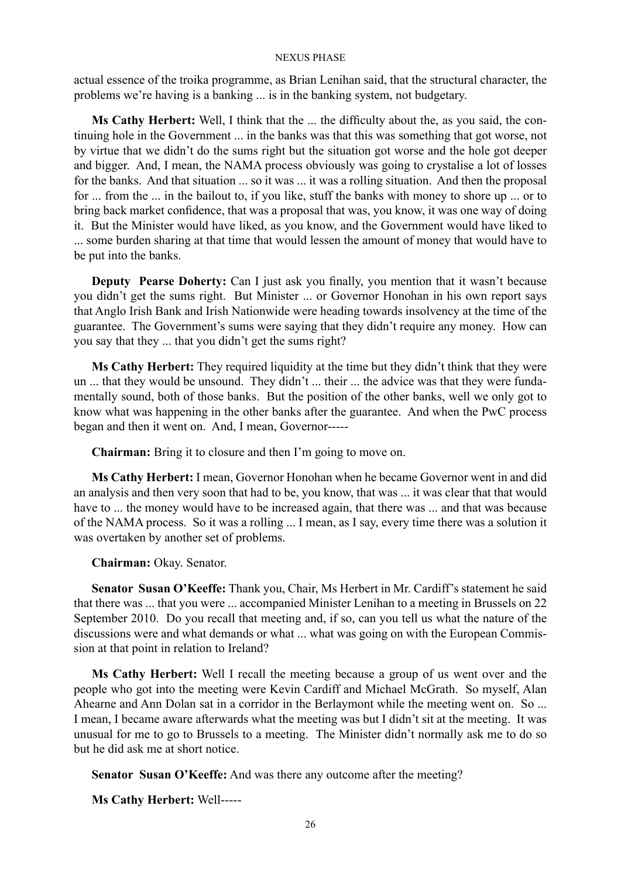actual essence of the troika programme, as Brian Lenihan said, that the structural character, the problems we're having is a banking ... is in the banking system, not budgetary.

**Ms Cathy Herbert:** Well, I think that the ... the difficulty about the, as you said, the continuing hole in the Government ... in the banks was that this was something that got worse, not by virtue that we didn't do the sums right but the situation got worse and the hole got deeper and bigger. And, I mean, the NAMA process obviously was going to crystalise a lot of losses for the banks. And that situation ... so it was ... it was a rolling situation. And then the proposal for ... from the ... in the bailout to, if you like, stuff the banks with money to shore up ... or to bring back market confidence, that was a proposal that was, you know, it was one way of doing it. But the Minister would have liked, as you know, and the Government would have liked to ... some burden sharing at that time that would lessen the amount of money that would have to be put into the banks.

**Deputy Pearse Doherty:** Can I just ask you finally, you mention that it wasn't because you didn't get the sums right. But Minister ... or Governor Honohan in his own report says that Anglo Irish Bank and Irish Nationwide were heading towards insolvency at the time of the guarantee. The Government's sums were saying that they didn't require any money. How can you say that they ... that you didn't get the sums right?

**Ms Cathy Herbert:** They required liquidity at the time but they didn't think that they were un ... that they would be unsound. They didn't ... their ... the advice was that they were fundamentally sound, both of those banks. But the position of the other banks, well we only got to know what was happening in the other banks after the guarantee. And when the PwC process began and then it went on. And, I mean, Governor-----

**Chairman:** Bring it to closure and then I'm going to move on.

**Ms Cathy Herbert:** I mean, Governor Honohan when he became Governor went in and did an analysis and then very soon that had to be, you know, that was ... it was clear that that would have to ... the money would have to be increased again, that there was ... and that was because of the NAMA process. So it was a rolling ... I mean, as I say, every time there was a solution it was overtaken by another set of problems.

**Chairman:** Okay. Senator.

**Senator Susan O'Keeffe:** Thank you, Chair, Ms Herbert in Mr. Cardiff's statement he said that there was ... that you were ... accompanied Minister Lenihan to a meeting in Brussels on 22 September 2010. Do you recall that meeting and, if so, can you tell us what the nature of the discussions were and what demands or what ... what was going on with the European Commission at that point in relation to Ireland?

**Ms Cathy Herbert:** Well I recall the meeting because a group of us went over and the people who got into the meeting were Kevin Cardiff and Michael McGrath. So myself, Alan Ahearne and Ann Dolan sat in a corridor in the Berlaymont while the meeting went on. So ... I mean, I became aware afterwards what the meeting was but I didn't sit at the meeting. It was unusual for me to go to Brussels to a meeting. The Minister didn't normally ask me to do so but he did ask me at short notice.

**Senator Susan O'Keeffe:** And was there any outcome after the meeting?

**Ms Cathy Herbert:** Well-----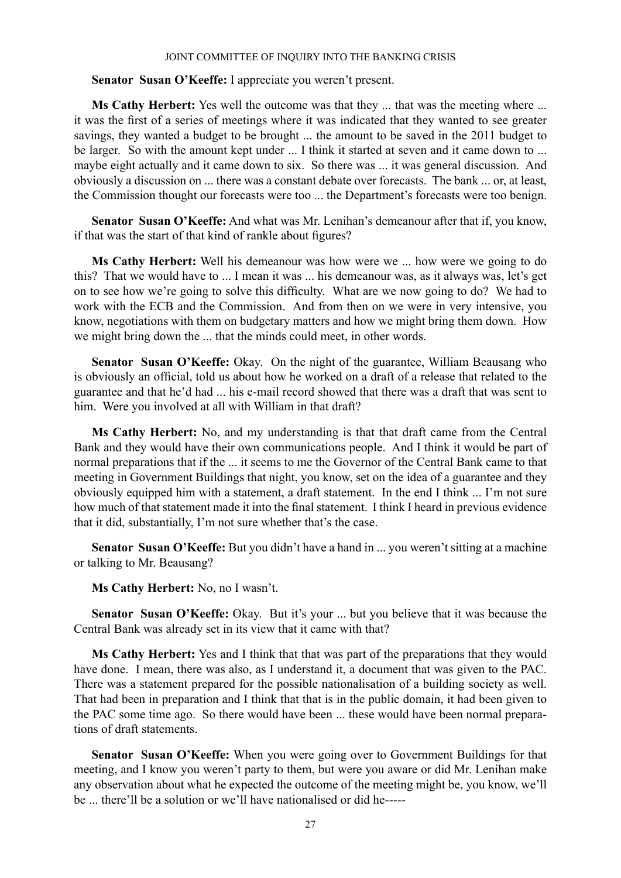## **Senator Susan O'Keeffe:** I appreciate you weren't present.

**Ms Cathy Herbert:** Yes well the outcome was that they ... that was the meeting where ... it was the first of a series of meetings where it was indicated that they wanted to see greater savings, they wanted a budget to be brought ... the amount to be saved in the 2011 budget to be larger. So with the amount kept under ... I think it started at seven and it came down to ... maybe eight actually and it came down to six. So there was ... it was general discussion. And obviously a discussion on ... there was a constant debate over forecasts. The bank ... or, at least, the Commission thought our forecasts were too ... the Department's forecasts were too benign.

**Senator Susan O'Keeffe:** And what was Mr. Lenihan's demeanour after that if, you know, if that was the start of that kind of rankle about figures?

**Ms Cathy Herbert:** Well his demeanour was how were we ... how were we going to do this? That we would have to ... I mean it was ... his demeanour was, as it always was, let's get on to see how we're going to solve this difficulty. What are we now going to do? We had to work with the ECB and the Commission. And from then on we were in very intensive, you know, negotiations with them on budgetary matters and how we might bring them down. How we might bring down the ... that the minds could meet, in other words.

**Senator Susan O'Keeffe:** Okay. On the night of the guarantee, William Beausang who is obviously an official, told us about how he worked on a draft of a release that related to the guarantee and that he'd had ... his e-mail record showed that there was a draft that was sent to him. Were you involved at all with William in that draft?

**Ms Cathy Herbert:** No, and my understanding is that that draft came from the Central Bank and they would have their own communications people. And I think it would be part of normal preparations that if the ... it seems to me the Governor of the Central Bank came to that meeting in Government Buildings that night, you know, set on the idea of a guarantee and they obviously equipped him with a statement, a draft statement. In the end I think ... I'm not sure how much of that statement made it into the final statement. I think I heard in previous evidence that it did, substantially, I'm not sure whether that's the case.

**Senator Susan O'Keeffe:** But you didn't have a hand in ... you weren't sitting at a machine or talking to Mr. Beausang?

**Ms Cathy Herbert:** No, no I wasn't.

**Senator Susan O'Keeffe:** Okay. But it's your ... but you believe that it was because the Central Bank was already set in its view that it came with that?

**Ms Cathy Herbert:** Yes and I think that that was part of the preparations that they would have done. I mean, there was also, as I understand it, a document that was given to the PAC. There was a statement prepared for the possible nationalisation of a building society as well. That had been in preparation and I think that that is in the public domain, it had been given to the PAC some time ago. So there would have been ... these would have been normal preparations of draft statements.

**Senator Susan O'Keeffe:** When you were going over to Government Buildings for that meeting, and I know you weren't party to them, but were you aware or did Mr. Lenihan make any observation about what he expected the outcome of the meeting might be, you know, we'll be ... there'll be a solution or we'll have nationalised or did he-----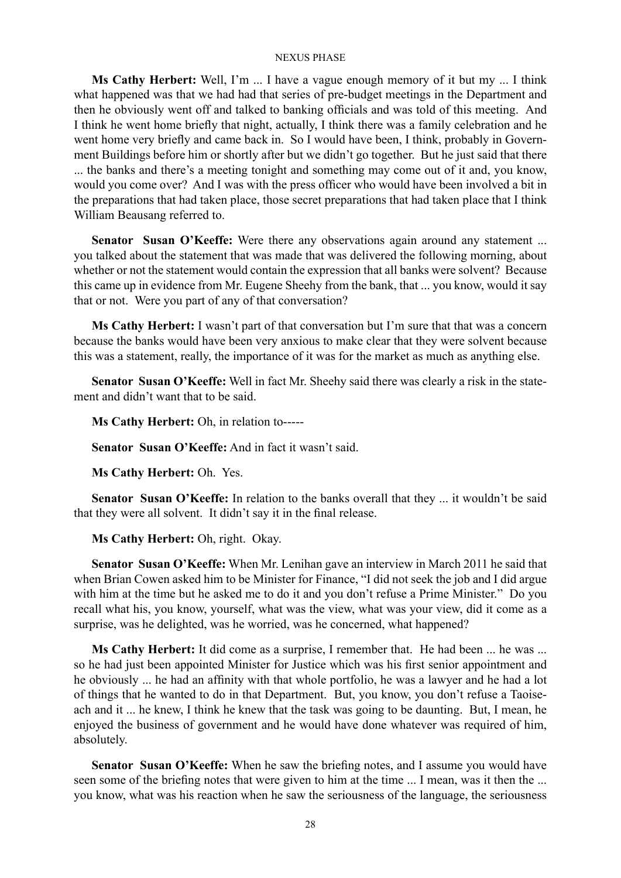**Ms Cathy Herbert:** Well, I'm ... I have a vague enough memory of it but my ... I think what happened was that we had had that series of pre-budget meetings in the Department and then he obviously went off and talked to banking officials and was told of this meeting. And I think he went home briefly that night, actually, I think there was a family celebration and he went home very briefly and came back in. So I would have been, I think, probably in Government Buildings before him or shortly after but we didn't go together. But he just said that there ... the banks and there's a meeting tonight and something may come out of it and, you know, would you come over? And I was with the press officer who would have been involved a bit in the preparations that had taken place, those secret preparations that had taken place that I think William Beausang referred to.

**Senator Susan O'Keeffe:** Were there any observations again around any statement ... you talked about the statement that was made that was delivered the following morning, about whether or not the statement would contain the expression that all banks were solvent? Because this came up in evidence from Mr. Eugene Sheehy from the bank, that ... you know, would it say that or not. Were you part of any of that conversation?

**Ms Cathy Herbert:** I wasn't part of that conversation but I'm sure that that was a concern because the banks would have been very anxious to make clear that they were solvent because this was a statement, really, the importance of it was for the market as much as anything else.

**Senator Susan O'Keeffe:** Well in fact Mr. Sheehy said there was clearly a risk in the statement and didn't want that to be said.

**Ms Cathy Herbert:** Oh, in relation to-----

**Senator Susan O'Keeffe:** And in fact it wasn't said.

**Ms Cathy Herbert:** Oh. Yes.

**Senator Susan O'Keeffe:** In relation to the banks overall that they ... it wouldn't be said that they were all solvent. It didn't say it in the final release.

**Ms Cathy Herbert:** Oh, right. Okay.

**Senator Susan O'Keeffe:** When Mr. Lenihan gave an interview in March 2011 he said that when Brian Cowen asked him to be Minister for Finance, "I did not seek the job and I did argue with him at the time but he asked me to do it and you don't refuse a Prime Minister." Do you recall what his, you know, yourself, what was the view, what was your view, did it come as a surprise, was he delighted, was he worried, was he concerned, what happened?

**Ms Cathy Herbert:** It did come as a surprise, I remember that. He had been ... he was ... so he had just been appointed Minister for Justice which was his first senior appointment and he obviously ... he had an affinity with that whole portfolio, he was a lawyer and he had a lot of things that he wanted to do in that Department. But, you know, you don't refuse a Taoiseach and it ... he knew, I think he knew that the task was going to be daunting. But, I mean, he enjoyed the business of government and he would have done whatever was required of him, absolutely.

**Senator Susan O'Keeffe:** When he saw the briefing notes, and I assume you would have seen some of the briefing notes that were given to him at the time ... I mean, was it then the ... you know, what was his reaction when he saw the seriousness of the language, the seriousness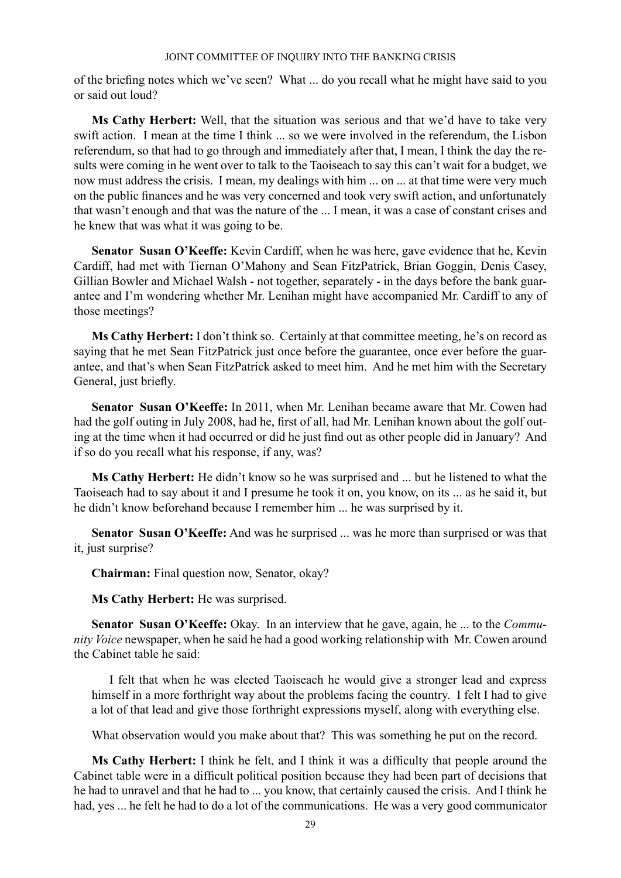of the briefing notes which we've seen? What ... do you recall what he might have said to you or said out loud?

**Ms Cathy Herbert:** Well, that the situation was serious and that we'd have to take very swift action. I mean at the time I think ... so we were involved in the referendum, the Lisbon referendum, so that had to go through and immediately after that, I mean, I think the day the results were coming in he went over to talk to the Taoiseach to say this can't wait for a budget, we now must address the crisis. I mean, my dealings with him ... on ... at that time were very much on the public finances and he was very concerned and took very swift action, and unfortunately that wasn't enough and that was the nature of the ... I mean, it was a case of constant crises and he knew that was what it was going to be.

**Senator Susan O'Keeffe:** Kevin Cardiff, when he was here, gave evidence that he, Kevin Cardiff, had met with Tiernan O'Mahony and Sean FitzPatrick, Brian Goggin, Denis Casey, Gillian Bowler and Michael Walsh - not together, separately - in the days before the bank guarantee and I'm wondering whether Mr. Lenihan might have accompanied Mr. Cardiff to any of those meetings?

**Ms Cathy Herbert:** I don't think so. Certainly at that committee meeting, he's on record as saying that he met Sean FitzPatrick just once before the guarantee, once ever before the guarantee, and that's when Sean FitzPatrick asked to meet him. And he met him with the Secretary General, just briefly.

**Senator Susan O'Keeffe:** In 2011, when Mr. Lenihan became aware that Mr. Cowen had had the golf outing in July 2008, had he, first of all, had Mr. Lenihan known about the golf outing at the time when it had occurred or did he just find out as other people did in January? And if so do you recall what his response, if any, was?

**Ms Cathy Herbert:** He didn't know so he was surprised and ... but he listened to what the Taoiseach had to say about it and I presume he took it on, you know, on its ... as he said it, but he didn't know beforehand because I remember him ... he was surprised by it.

**Senator Susan O'Keeffe:** And was he surprised ... was he more than surprised or was that it, just surprise?

**Chairman:** Final question now, Senator, okay?

**Ms Cathy Herbert:** He was surprised.

**Senator Susan O'Keeffe:** Okay. In an interview that he gave, again, he ... to the *Community Voice* newspaper, when he said he had a good working relationship with Mr. Cowen around the Cabinet table he said:

I felt that when he was elected Taoiseach he would give a stronger lead and express himself in a more forthright way about the problems facing the country. I felt I had to give a lot of that lead and give those forthright expressions myself, along with everything else.

What observation would you make about that? This was something he put on the record.

**Ms Cathy Herbert:** I think he felt, and I think it was a difficulty that people around the Cabinet table were in a difficult political position because they had been part of decisions that he had to unravel and that he had to ... you know, that certainly caused the crisis. And I think he had, yes ... he felt he had to do a lot of the communications. He was a very good communicator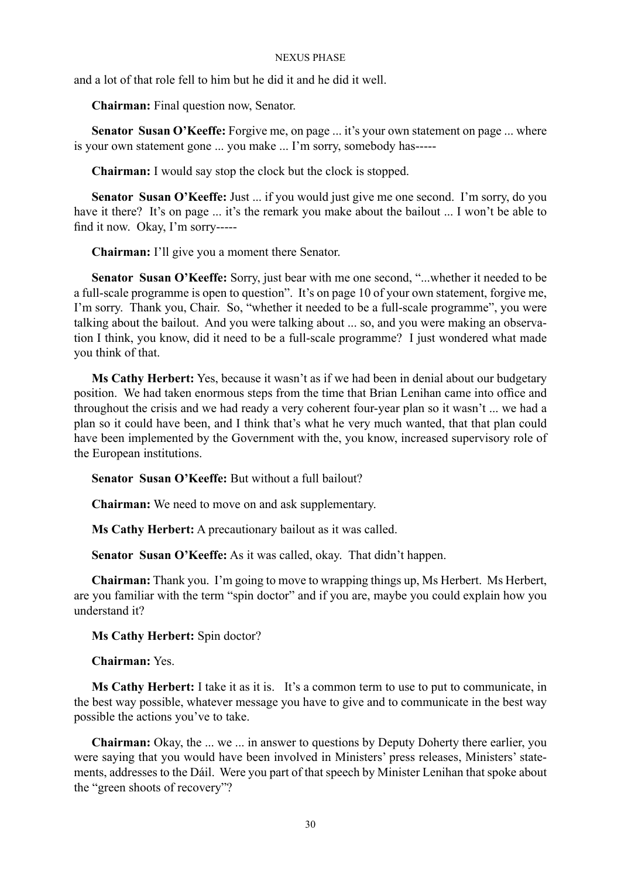and a lot of that role fell to him but he did it and he did it well.

**Chairman:** Final question now, Senator.

Senator Susan O'Keeffe: Forgive me, on page ... it's your own statement on page ... where is your own statement gone ... you make ... I'm sorry, somebody has-----

**Chairman:** I would say stop the clock but the clock is stopped.

**Senator Susan O'Keeffe:** Just ... if you would just give me one second. I'm sorry, do you have it there? It's on page ... it's the remark you make about the bailout ... I won't be able to find it now. Okay, I'm sorry-----

**Chairman:** I'll give you a moment there Senator.

Senator Susan O'Keeffe: Sorry, just bear with me one second, "...whether it needed to be a full-scale programme is open to question". It's on page 10 of your own statement, forgive me, I'm sorry. Thank you, Chair. So, "whether it needed to be a full-scale programme", you were talking about the bailout. And you were talking about ... so, and you were making an observation I think, you know, did it need to be a full-scale programme? I just wondered what made you think of that.

**Ms Cathy Herbert:** Yes, because it wasn't as if we had been in denial about our budgetary position. We had taken enormous steps from the time that Brian Lenihan came into office and throughout the crisis and we had ready a very coherent four-year plan so it wasn't ... we had a plan so it could have been, and I think that's what he very much wanted, that that plan could have been implemented by the Government with the, you know, increased supervisory role of the European institutions.

**Senator Susan O'Keeffe:** But without a full bailout?

**Chairman:** We need to move on and ask supplementary.

**Ms Cathy Herbert:** A precautionary bailout as it was called.

**Senator Susan O'Keeffe:** As it was called, okay. That didn't happen.

**Chairman:** Thank you. I'm going to move to wrapping things up, Ms Herbert. Ms Herbert, are you familiar with the term "spin doctor" and if you are, maybe you could explain how you understand it?

**Ms Cathy Herbert:** Spin doctor?

**Chairman:** Yes.

**Ms Cathy Herbert:** I take it as it is. It's a common term to use to put to communicate, in the best way possible, whatever message you have to give and to communicate in the best way possible the actions you've to take.

**Chairman:** Okay, the ... we ... in answer to questions by Deputy Doherty there earlier, you were saying that you would have been involved in Ministers' press releases, Ministers' statements, addresses to the Dáil. Were you part of that speech by Minister Lenihan that spoke about the "green shoots of recovery"?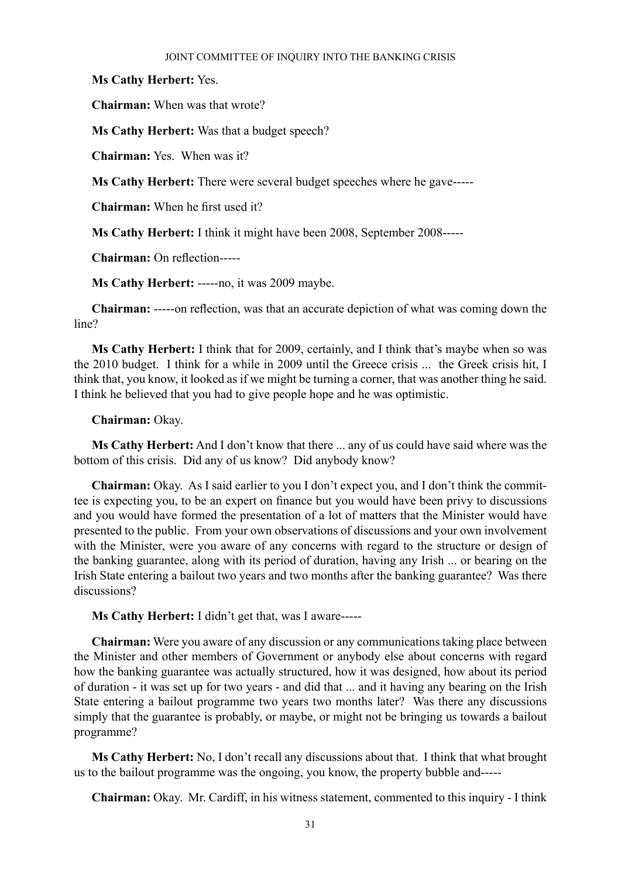**Ms Cathy Herbert:** Yes.

**Chairman:** When was that wrote?

**Ms Cathy Herbert:** Was that a budget speech?

**Chairman:** Yes. When was it?

**Ms Cathy Herbert:** There were several budget speeches where he gave-----

**Chairman:** When he first used it?

**Ms Cathy Herbert:** I think it might have been 2008, September 2008-----

**Chairman:** On reflection-----

**Ms Cathy Herbert:** -----no, it was 2009 maybe.

**Chairman:** -----on reflection, was that an accurate depiction of what was coming down the line?

**Ms Cathy Herbert:** I think that for 2009, certainly, and I think that's maybe when so was the 2010 budget. I think for a while in 2009 until the Greece crisis ... the Greek crisis hit, I think that, you know, it looked as if we might be turning a corner, that was another thing he said. I think he believed that you had to give people hope and he was optimistic.

## **Chairman:** Okay.

**Ms Cathy Herbert:** And I don't know that there ... any of us could have said where was the bottom of this crisis. Did any of us know? Did anybody know?

**Chairman:** Okay. As I said earlier to you I don't expect you, and I don't think the committee is expecting you, to be an expert on finance but you would have been privy to discussions and you would have formed the presentation of a lot of matters that the Minister would have presented to the public. From your own observations of discussions and your own involvement with the Minister, were you aware of any concerns with regard to the structure or design of the banking guarantee, along with its period of duration, having any Irish ... or bearing on the Irish State entering a bailout two years and two months after the banking guarantee? Was there discussions?

**Ms Cathy Herbert:** I didn't get that, was I aware-----

**Chairman:** Were you aware of any discussion or any communications taking place between the Minister and other members of Government or anybody else about concerns with regard how the banking guarantee was actually structured, how it was designed, how about its period of duration - it was set up for two years - and did that ... and it having any bearing on the Irish State entering a bailout programme two years two months later? Was there any discussions simply that the guarantee is probably, or maybe, or might not be bringing us towards a bailout programme?

**Ms Cathy Herbert:** No, I don't recall any discussions about that. I think that what brought us to the bailout programme was the ongoing, you know, the property bubble and-----

**Chairman:** Okay. Mr. Cardiff, in his witness statement, commented to this inquiry - I think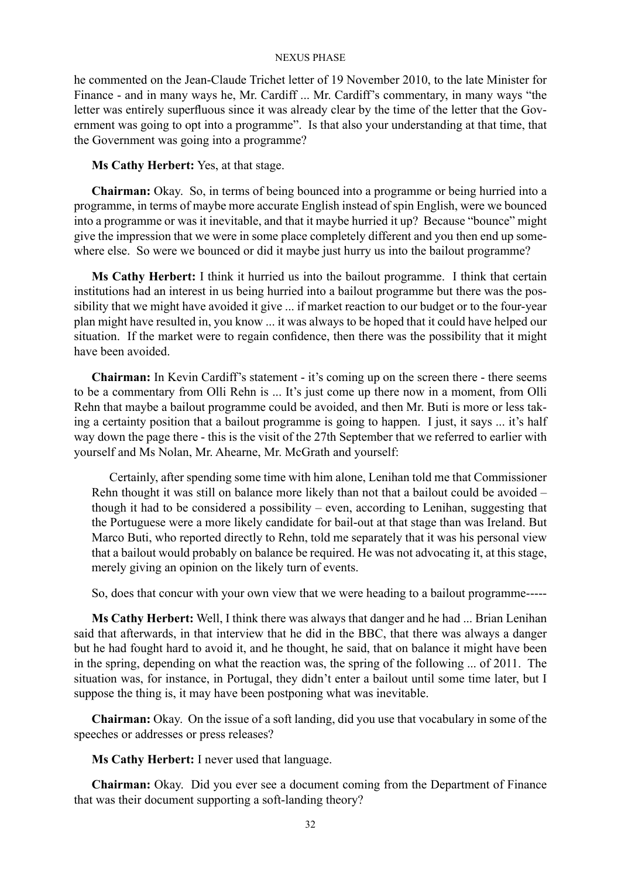he commented on the Jean-Claude Trichet letter of 19 November 2010, to the late Minister for Finance - and in many ways he, Mr. Cardiff ... Mr. Cardiff's commentary, in many ways "the letter was entirely superfluous since it was already clear by the time of the letter that the Government was going to opt into a programme". Is that also your understanding at that time, that the Government was going into a programme?

## **Ms Cathy Herbert:** Yes, at that stage.

**Chairman:** Okay. So, in terms of being bounced into a programme or being hurried into a programme, in terms of maybe more accurate English instead of spin English, were we bounced into a programme or was it inevitable, and that it maybe hurried it up? Because "bounce" might give the impression that we were in some place completely different and you then end up somewhere else. So were we bounced or did it maybe just hurry us into the bailout programme?

**Ms Cathy Herbert:** I think it hurried us into the bailout programme. I think that certain institutions had an interest in us being hurried into a bailout programme but there was the possibility that we might have avoided it give ... if market reaction to our budget or to the four-year plan might have resulted in, you know ... it was always to be hoped that it could have helped our situation. If the market were to regain confidence, then there was the possibility that it might have been avoided.

**Chairman:** In Kevin Cardiff's statement - it's coming up on the screen there - there seems to be a commentary from Olli Rehn is ... It's just come up there now in a moment, from Olli Rehn that maybe a bailout programme could be avoided, and then Mr. Buti is more or less taking a certainty position that a bailout programme is going to happen. I just, it says ... it's half way down the page there - this is the visit of the 27th September that we referred to earlier with yourself and Ms Nolan, Mr. Ahearne, Mr. McGrath and yourself:

Certainly, after spending some time with him alone, Lenihan told me that Commissioner Rehn thought it was still on balance more likely than not that a bailout could be avoided – though it had to be considered a possibility – even, according to Lenihan, suggesting that the Portuguese were a more likely candidate for bail-out at that stage than was Ireland. But Marco Buti, who reported directly to Rehn, told me separately that it was his personal view that a bailout would probably on balance be required. He was not advocating it, at this stage, merely giving an opinion on the likely turn of events.

So, does that concur with your own view that we were heading to a bailout programme-----

**Ms Cathy Herbert:** Well, I think there was always that danger and he had ... Brian Lenihan said that afterwards, in that interview that he did in the BBC, that there was always a danger but he had fought hard to avoid it, and he thought, he said, that on balance it might have been in the spring, depending on what the reaction was, the spring of the following ... of 2011. The situation was, for instance, in Portugal, they didn't enter a bailout until some time later, but I suppose the thing is, it may have been postponing what was inevitable.

**Chairman:** Okay. On the issue of a soft landing, did you use that vocabulary in some of the speeches or addresses or press releases?

**Ms Cathy Herbert:** I never used that language.

**Chairman:** Okay. Did you ever see a document coming from the Department of Finance that was their document supporting a soft-landing theory?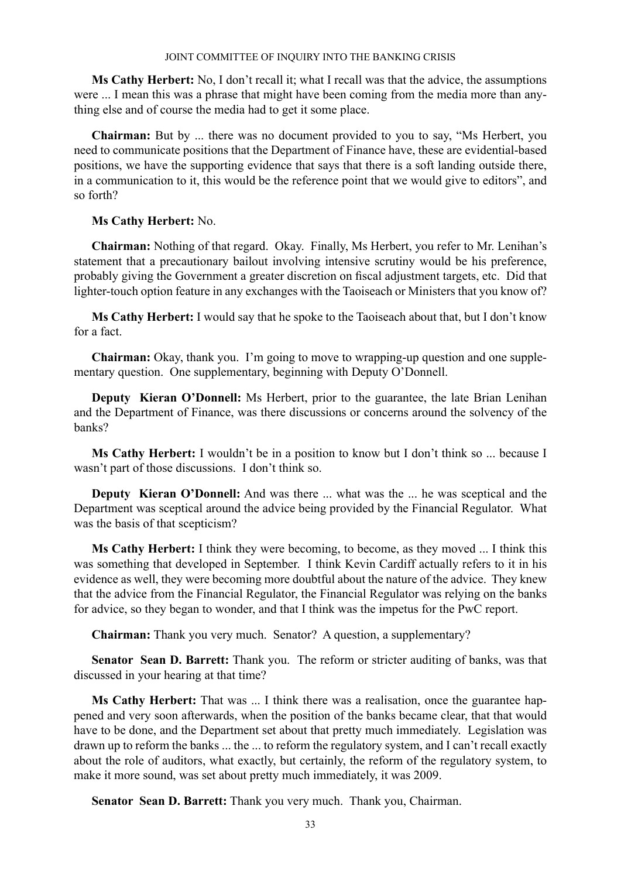**Ms Cathy Herbert:** No, I don't recall it; what I recall was that the advice, the assumptions were ... I mean this was a phrase that might have been coming from the media more than anything else and of course the media had to get it some place.

**Chairman:** But by ... there was no document provided to you to say, "Ms Herbert, you need to communicate positions that the Department of Finance have, these are evidential-based positions, we have the supporting evidence that says that there is a soft landing outside there, in a communication to it, this would be the reference point that we would give to editors", and so forth?

## **Ms Cathy Herbert:** No.

**Chairman:** Nothing of that regard. Okay. Finally, Ms Herbert, you refer to Mr. Lenihan's statement that a precautionary bailout involving intensive scrutiny would be his preference, probably giving the Government a greater discretion on fiscal adjustment targets, etc. Did that lighter-touch option feature in any exchanges with the Taoiseach or Ministers that you know of?

**Ms Cathy Herbert:** I would say that he spoke to the Taoiseach about that, but I don't know for a fact.

**Chairman:** Okay, thank you. I'm going to move to wrapping-up question and one supplementary question. One supplementary, beginning with Deputy O'Donnell.

**Deputy Kieran O'Donnell:** Ms Herbert, prior to the guarantee, the late Brian Lenihan and the Department of Finance, was there discussions or concerns around the solvency of the banks?

**Ms Cathy Herbert:** I wouldn't be in a position to know but I don't think so ... because I wasn't part of those discussions. I don't think so.

**Deputy Kieran O'Donnell:** And was there ... what was the ... he was sceptical and the Department was sceptical around the advice being provided by the Financial Regulator. What was the basis of that scepticism?

**Ms Cathy Herbert:** I think they were becoming, to become, as they moved ... I think this was something that developed in September. I think Kevin Cardiff actually refers to it in his evidence as well, they were becoming more doubtful about the nature of the advice. They knew that the advice from the Financial Regulator, the Financial Regulator was relying on the banks for advice, so they began to wonder, and that I think was the impetus for the PwC report.

**Chairman:** Thank you very much. Senator? A question, a supplementary?

**Senator Sean D. Barrett:** Thank you. The reform or stricter auditing of banks, was that discussed in your hearing at that time?

**Ms Cathy Herbert:** That was ... I think there was a realisation, once the guarantee happened and very soon afterwards, when the position of the banks became clear, that that would have to be done, and the Department set about that pretty much immediately. Legislation was drawn up to reform the banks ... the ... to reform the regulatory system, and I can't recall exactly about the role of auditors, what exactly, but certainly, the reform of the regulatory system, to make it more sound, was set about pretty much immediately, it was 2009.

**Senator Sean D. Barrett:** Thank you very much. Thank you, Chairman.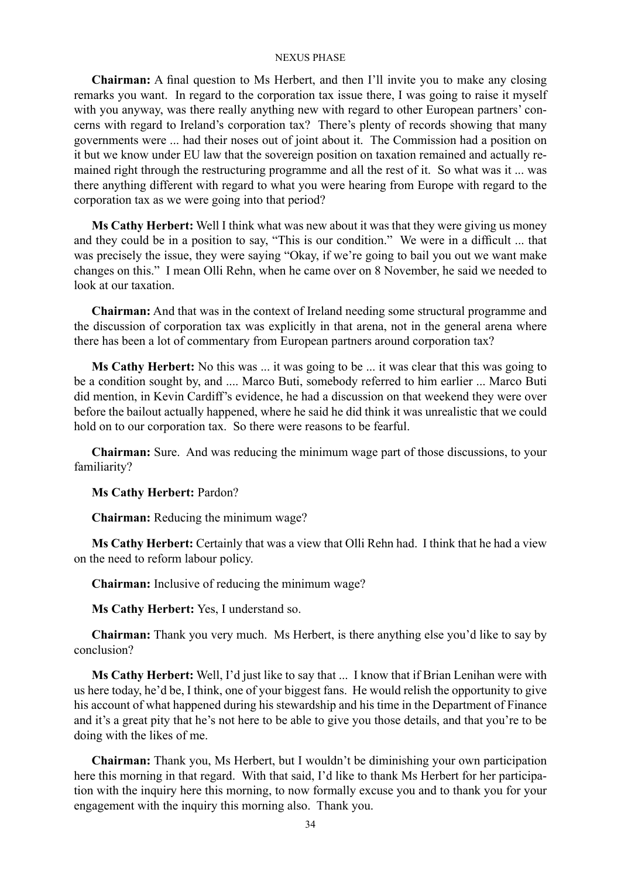**Chairman:** A final question to Ms Herbert, and then I'll invite you to make any closing remarks you want. In regard to the corporation tax issue there, I was going to raise it myself with you anyway, was there really anything new with regard to other European partners' concerns with regard to Ireland's corporation tax? There's plenty of records showing that many governments were ... had their noses out of joint about it. The Commission had a position on it but we know under EU law that the sovereign position on taxation remained and actually remained right through the restructuring programme and all the rest of it. So what was it ... was there anything different with regard to what you were hearing from Europe with regard to the corporation tax as we were going into that period?

**Ms Cathy Herbert:** Well I think what was new about it was that they were giving us money and they could be in a position to say, "This is our condition." We were in a difficult ... that was precisely the issue, they were saying "Okay, if we're going to bail you out we want make changes on this." I mean Olli Rehn, when he came over on 8 November, he said we needed to look at our taxation.

**Chairman:** And that was in the context of Ireland needing some structural programme and the discussion of corporation tax was explicitly in that arena, not in the general arena where there has been a lot of commentary from European partners around corporation tax?

**Ms Cathy Herbert:** No this was ... it was going to be ... it was clear that this was going to be a condition sought by, and .... Marco Buti, somebody referred to him earlier ... Marco Buti did mention, in Kevin Cardiff's evidence, he had a discussion on that weekend they were over before the bailout actually happened, where he said he did think it was unrealistic that we could hold on to our corporation tax. So there were reasons to be fearful.

**Chairman:** Sure. And was reducing the minimum wage part of those discussions, to your familiarity?

**Ms Cathy Herbert:** Pardon?

**Chairman:** Reducing the minimum wage?

**Ms Cathy Herbert:** Certainly that was a view that Olli Rehn had. I think that he had a view on the need to reform labour policy.

**Chairman:** Inclusive of reducing the minimum wage?

**Ms Cathy Herbert:** Yes, I understand so.

**Chairman:** Thank you very much. Ms Herbert, is there anything else you'd like to say by conclusion?

**Ms Cathy Herbert:** Well, I'd just like to say that ... I know that if Brian Lenihan were with us here today, he'd be, I think, one of your biggest fans. He would relish the opportunity to give his account of what happened during his stewardship and his time in the Department of Finance and it's a great pity that he's not here to be able to give you those details, and that you're to be doing with the likes of me.

**Chairman:** Thank you, Ms Herbert, but I wouldn't be diminishing your own participation here this morning in that regard. With that said, I'd like to thank Ms Herbert for her participation with the inquiry here this morning, to now formally excuse you and to thank you for your engagement with the inquiry this morning also. Thank you.